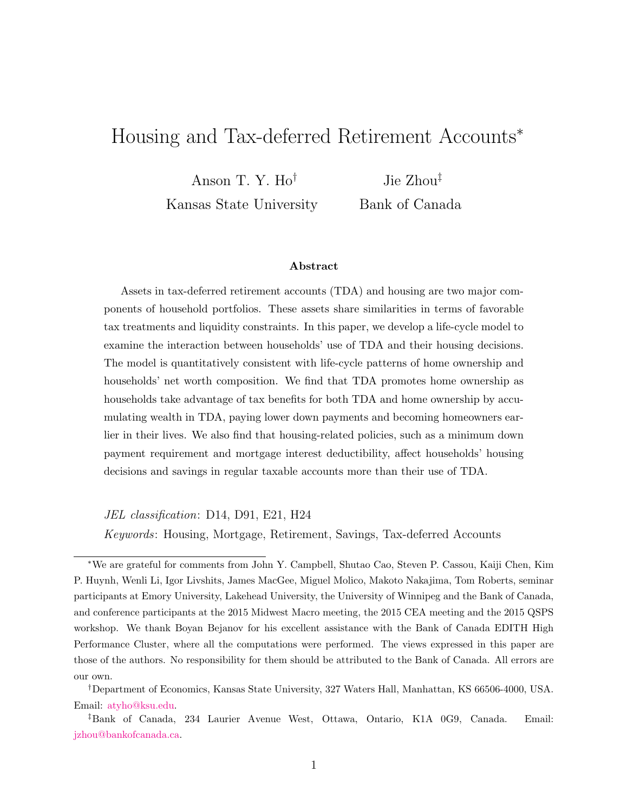# Housing and Tax-deferred Retirement Accounts<sup>∗</sup>

Anson T. Y. Ho†

Kansas State University

Jie Zhou‡ Bank of Canada

#### Abstract

Assets in tax-deferred retirement accounts (TDA) and housing are two major components of household portfolios. These assets share similarities in terms of favorable tax treatments and liquidity constraints. In this paper, we develop a life-cycle model to examine the interaction between households' use of TDA and their housing decisions. The model is quantitatively consistent with life-cycle patterns of home ownership and households' net worth composition. We find that TDA promotes home ownership as households take advantage of tax benefits for both TDA and home ownership by accumulating wealth in TDA, paying lower down payments and becoming homeowners earlier in their lives. We also find that housing-related policies, such as a minimum down payment requirement and mortgage interest deductibility, affect households' housing decisions and savings in regular taxable accounts more than their use of TDA.

JEL classification: D14, D91, E21, H24

Keywords: Housing, Mortgage, Retirement, Savings, Tax-deferred Accounts

<sup>∗</sup>We are grateful for comments from John Y. Campbell, Shutao Cao, Steven P. Cassou, Kaiji Chen, Kim P. Huynh, Wenli Li, Igor Livshits, James MacGee, Miguel Molico, Makoto Nakajima, Tom Roberts, seminar participants at Emory University, Lakehead University, the University of Winnipeg and the Bank of Canada, and conference participants at the 2015 Midwest Macro meeting, the 2015 CEA meeting and the 2015 QSPS workshop. We thank Boyan Bejanov for his excellent assistance with the Bank of Canada EDITH High Performance Cluster, where all the computations were performed. The views expressed in this paper are those of the authors. No responsibility for them should be attributed to the Bank of Canada. All errors are our own.

<sup>†</sup>Department of Economics, Kansas State University, 327 Waters Hall, Manhattan, KS 66506-4000, USA. Email: [atyho@ksu.edu.](mailto:atyho@ksu.edu)

<sup>‡</sup>Bank of Canada, 234 Laurier Avenue West, Ottawa, Ontario, K1A 0G9, Canada. Email: [jzhou@bankofcanada.ca.](mailto:jzhou@bankofcanada.ca)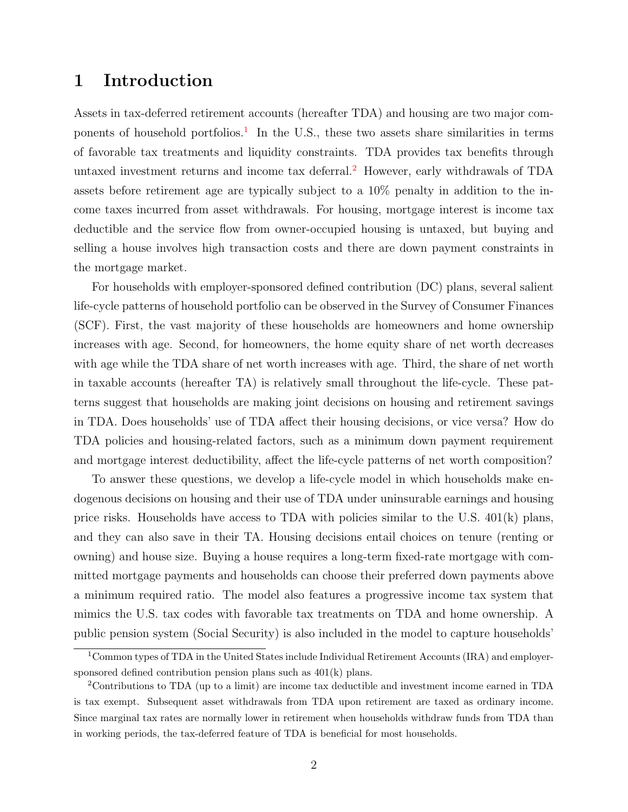## 1 Introduction

Assets in tax-deferred retirement accounts (hereafter TDA) and housing are two major com-ponents of household portfolios.<sup>[1](#page-1-0)</sup> In the U.S., these two assets share similarities in terms of favorable tax treatments and liquidity constraints. TDA provides tax benefits through untaxed investment returns and income tax deferral.<sup>[2](#page-1-1)</sup> However, early withdrawals of TDA assets before retirement age are typically subject to a 10% penalty in addition to the income taxes incurred from asset withdrawals. For housing, mortgage interest is income tax deductible and the service flow from owner-occupied housing is untaxed, but buying and selling a house involves high transaction costs and there are down payment constraints in the mortgage market.

For households with employer-sponsored defined contribution (DC) plans, several salient life-cycle patterns of household portfolio can be observed in the Survey of Consumer Finances (SCF). First, the vast majority of these households are homeowners and home ownership increases with age. Second, for homeowners, the home equity share of net worth decreases with age while the TDA share of net worth increases with age. Third, the share of net worth in taxable accounts (hereafter TA) is relatively small throughout the life-cycle. These patterns suggest that households are making joint decisions on housing and retirement savings in TDA. Does households' use of TDA affect their housing decisions, or vice versa? How do TDA policies and housing-related factors, such as a minimum down payment requirement and mortgage interest deductibility, affect the life-cycle patterns of net worth composition?

To answer these questions, we develop a life-cycle model in which households make endogenous decisions on housing and their use of TDA under uninsurable earnings and housing price risks. Households have access to TDA with policies similar to the U.S. 401(k) plans, and they can also save in their TA. Housing decisions entail choices on tenure (renting or owning) and house size. Buying a house requires a long-term fixed-rate mortgage with committed mortgage payments and households can choose their preferred down payments above a minimum required ratio. The model also features a progressive income tax system that mimics the U.S. tax codes with favorable tax treatments on TDA and home ownership. A public pension system (Social Security) is also included in the model to capture households'

<span id="page-1-0"></span><sup>&</sup>lt;sup>1</sup>Common types of TDA in the United States include Individual Retirement Accounts (IRA) and employersponsored defined contribution pension plans such as 401(k) plans.

<span id="page-1-1"></span><sup>2</sup>Contributions to TDA (up to a limit) are income tax deductible and investment income earned in TDA is tax exempt. Subsequent asset withdrawals from TDA upon retirement are taxed as ordinary income. Since marginal tax rates are normally lower in retirement when households withdraw funds from TDA than in working periods, the tax-deferred feature of TDA is beneficial for most households.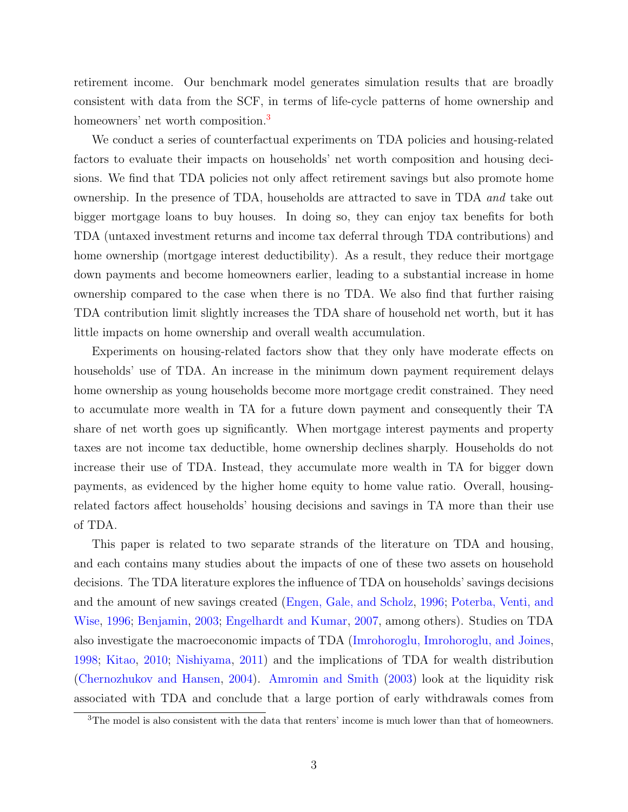retirement income. Our benchmark model generates simulation results that are broadly consistent with data from the SCF, in terms of life-cycle patterns of home ownership and homeowners' net worth composition.<sup>[3](#page-2-0)</sup>

We conduct a series of counterfactual experiments on TDA policies and housing-related factors to evaluate their impacts on households' net worth composition and housing decisions. We find that TDA policies not only affect retirement savings but also promote home ownership. In the presence of TDA, households are attracted to save in TDA and take out bigger mortgage loans to buy houses. In doing so, they can enjoy tax benefits for both TDA (untaxed investment returns and income tax deferral through TDA contributions) and home ownership (mortgage interest deductibility). As a result, they reduce their mortgage down payments and become homeowners earlier, leading to a substantial increase in home ownership compared to the case when there is no TDA. We also find that further raising TDA contribution limit slightly increases the TDA share of household net worth, but it has little impacts on home ownership and overall wealth accumulation.

Experiments on housing-related factors show that they only have moderate effects on households' use of TDA. An increase in the minimum down payment requirement delays home ownership as young households become more mortgage credit constrained. They need to accumulate more wealth in TA for a future down payment and consequently their TA share of net worth goes up significantly. When mortgage interest payments and property taxes are not income tax deductible, home ownership declines sharply. Households do not increase their use of TDA. Instead, they accumulate more wealth in TA for bigger down payments, as evidenced by the higher home equity to home value ratio. Overall, housingrelated factors affect households' housing decisions and savings in TA more than their use of TDA.

This paper is related to two separate strands of the literature on TDA and housing, and each contains many studies about the impacts of one of these two assets on household decisions. The TDA literature explores the influence of TDA on households' savings decisions and the amount of new savings created [\(Engen, Gale, and Scholz,](#page-27-0) [1996;](#page-27-0) [Poterba, Venti, and](#page-29-0) [Wise,](#page-29-0) [1996;](#page-29-0) [Benjamin,](#page-26-0) [2003;](#page-26-0) [Engelhardt and Kumar,](#page-27-1) [2007,](#page-27-1) among others). Studies on TDA also investigate the macroeconomic impacts of TDA [\(Imrohoroglu, Imrohoroglu, and Joines,](#page-28-0) [1998;](#page-28-0) [Kitao,](#page-28-1) [2010;](#page-28-1) [Nishiyama,](#page-29-1) [2011\)](#page-29-1) and the implications of TDA for wealth distribution [\(Chernozhukov and Hansen,](#page-27-2) [2004\)](#page-27-2). [Amromin and Smith](#page-26-1) [\(2003\)](#page-26-1) look at the liquidity risk associated with TDA and conclude that a large portion of early withdrawals comes from

<span id="page-2-0"></span><sup>&</sup>lt;sup>3</sup>The model is also consistent with the data that renters' income is much lower than that of homeowners.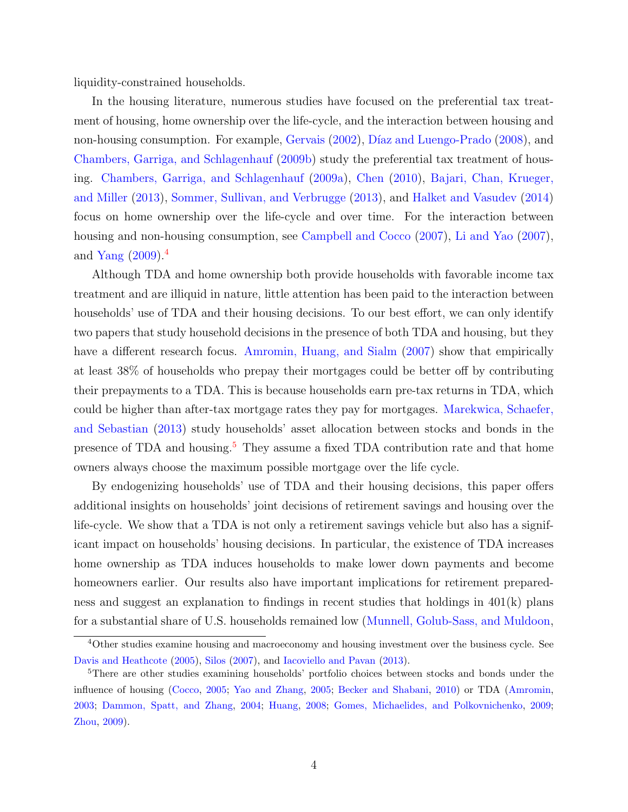liquidity-constrained households.

In the housing literature, numerous studies have focused on the preferential tax treatment of housing, home ownership over the life-cycle, and the interaction between housing and non-housing consumption. For example, [Gervais](#page-27-3) [\(2002\)](#page-27-3), Díaz and Luengo-Prado [\(2008\)](#page-27-4), and [Chambers, Garriga, and Schlagenhauf](#page-26-2) [\(2009b\)](#page-26-2) study the preferential tax treatment of housing. [Chambers, Garriga, and Schlagenhauf](#page-26-3) [\(2009a\)](#page-26-3), [Chen](#page-27-5) [\(2010\)](#page-27-5), [Bajari, Chan, Krueger,](#page-26-4) [and Miller](#page-26-4) [\(2013\)](#page-26-4), [Sommer, Sullivan, and Verbrugge](#page-29-2) [\(2013\)](#page-29-2), and [Halket and Vasudev](#page-27-6) [\(2014\)](#page-27-6) focus on home ownership over the life-cycle and over time. For the interaction between housing and non-housing consumption, see [Campbell and Cocco](#page-26-5) [\(2007\)](#page-26-5), [Li and Yao](#page-28-2) [\(2007\)](#page-28-2), and [Yang](#page-29-3)  $(2009)^{4}$  $(2009)^{4}$  $(2009)^{4}$  $(2009)^{4}$ 

Although TDA and home ownership both provide households with favorable income tax treatment and are illiquid in nature, little attention has been paid to the interaction between households' use of TDA and their housing decisions. To our best effort, we can only identify two papers that study household decisions in the presence of both TDA and housing, but they have a different research focus. [Amromin, Huang, and Sialm](#page-26-6) [\(2007\)](#page-26-6) show that empirically at least 38% of households who prepay their mortgages could be better off by contributing their prepayments to a TDA. This is because households earn pre-tax returns in TDA, which could be higher than after-tax mortgage rates they pay for mortgages. [Marekwica, Schaefer,](#page-28-3) [and Sebastian](#page-28-3) [\(2013\)](#page-28-3) study households' asset allocation between stocks and bonds in the presence of TDA and housing.<sup>[5](#page-3-1)</sup> They assume a fixed TDA contribution rate and that home owners always choose the maximum possible mortgage over the life cycle.

By endogenizing households' use of TDA and their housing decisions, this paper offers additional insights on households' joint decisions of retirement savings and housing over the life-cycle. We show that a TDA is not only a retirement savings vehicle but also has a significant impact on households' housing decisions. In particular, the existence of TDA increases home ownership as TDA induces households to make lower down payments and become homeowners earlier. Our results also have important implications for retirement preparedness and suggest an explanation to findings in recent studies that holdings in 401(k) plans for a substantial share of U.S. households remained low [\(Munnell, Golub-Sass, and Muldoon,](#page-28-4)

<span id="page-3-0"></span><sup>&</sup>lt;sup>4</sup>Other studies examine housing and macroeconomy and housing investment over the business cycle. See [Davis and Heathcote](#page-27-7) [\(2005\)](#page-27-7), [Silos](#page-29-4) [\(2007\)](#page-29-4), and [Iacoviello and Pavan](#page-28-5) [\(2013\)](#page-28-5).

<span id="page-3-1"></span><sup>5</sup>There are other studies examining households' portfolio choices between stocks and bonds under the influence of housing [\(Cocco,](#page-27-8) [2005;](#page-27-8) [Yao and Zhang,](#page-29-5) [2005;](#page-29-5) [Becker and Shabani,](#page-26-7) [2010\)](#page-26-7) or TDA [\(Amromin,](#page-26-8) [2003;](#page-26-8) [Dammon, Spatt, and Zhang,](#page-27-9) [2004;](#page-27-9) [Huang,](#page-28-6) [2008;](#page-28-6) [Gomes, Michaelides, and Polkovnichenko,](#page-27-10) [2009;](#page-27-10) [Zhou,](#page-29-6) [2009\)](#page-29-6).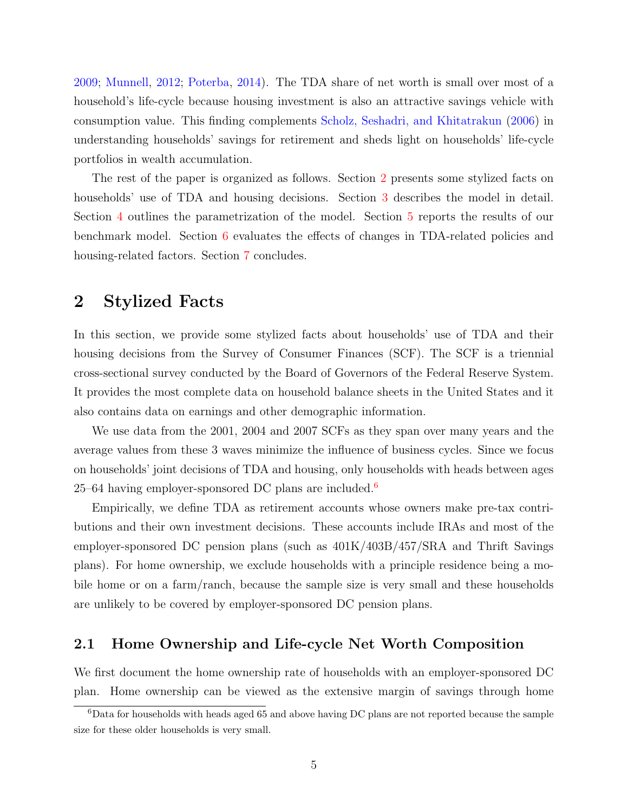[2009;](#page-28-4) [Munnell,](#page-28-7) [2012;](#page-28-7) [Poterba,](#page-29-7) [2014\)](#page-29-7). The TDA share of net worth is small over most of a household's life-cycle because housing investment is also an attractive savings vehicle with consumption value. This finding complements [Scholz, Seshadri, and Khitatrakun](#page-29-8) [\(2006\)](#page-29-8) in understanding households' savings for retirement and sheds light on households' life-cycle portfolios in wealth accumulation.

The rest of the paper is organized as follows. Section [2](#page-4-0) presents some stylized facts on households' use of TDA and housing decisions. Section [3](#page-6-0) describes the model in detail. Section [4](#page-13-0) outlines the parametrization of the model. Section [5](#page-16-0) reports the results of our benchmark model. Section [6](#page-17-0) evaluates the effects of changes in TDA-related policies and housing-related factors. Section [7](#page-22-0) concludes.

### <span id="page-4-0"></span>2 Stylized Facts

In this section, we provide some stylized facts about households' use of TDA and their housing decisions from the Survey of Consumer Finances (SCF). The SCF is a triennial cross-sectional survey conducted by the Board of Governors of the Federal Reserve System. It provides the most complete data on household balance sheets in the United States and it also contains data on earnings and other demographic information.

We use data from the 2001, 2004 and 2007 SCFs as they span over many years and the average values from these 3 waves minimize the influence of business cycles. Since we focus on households' joint decisions of TDA and housing, only households with heads between ages  $25-64$  $25-64$  $25-64$  having employer-sponsored DC plans are included.<sup>6</sup>

Empirically, we define TDA as retirement accounts whose owners make pre-tax contributions and their own investment decisions. These accounts include IRAs and most of the employer-sponsored DC pension plans (such as 401K/403B/457/SRA and Thrift Savings plans). For home ownership, we exclude households with a principle residence being a mobile home or on a farm/ranch, because the sample size is very small and these households are unlikely to be covered by employer-sponsored DC pension plans.

### 2.1 Home Ownership and Life-cycle Net Worth Composition

We first document the home ownership rate of households with an employer-sponsored DC plan. Home ownership can be viewed as the extensive margin of savings through home

<span id="page-4-1"></span><sup>6</sup>Data for households with heads aged 65 and above having DC plans are not reported because the sample size for these older households is very small.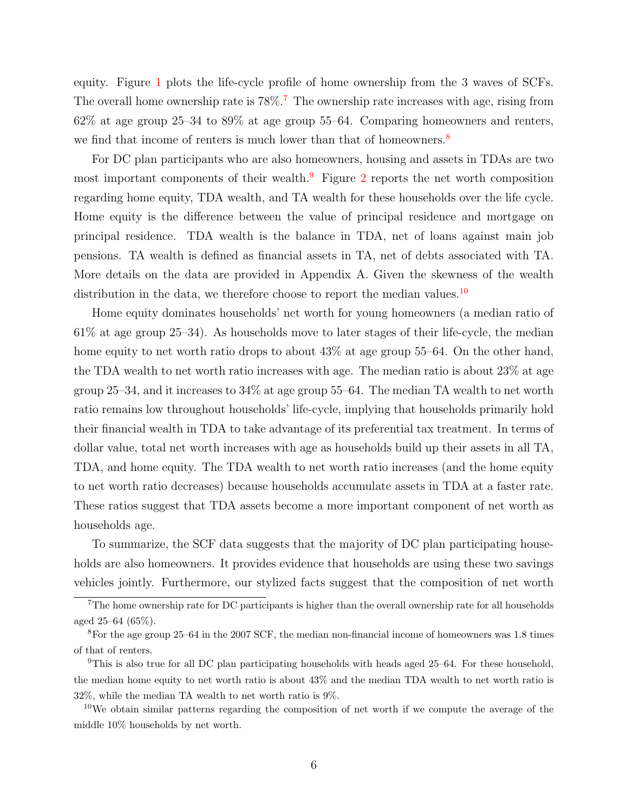equity. Figure [1](#page-34-0) plots the life-cycle profile of home ownership from the 3 waves of SCFs. The overall home ownership rate is  $78\%$  $78\%$ .<sup>7</sup> The ownership rate increases with age, rising from  $62\%$  at age group  $25-34$  to  $89\%$  at age group 55–64. Comparing homeowners and renters, we find that income of renters is much lower than that of homeowners.<sup>[8](#page-5-1)</sup>

For DC plan participants who are also homeowners, housing and assets in TDAs are two most important components of their wealth.[9](#page-5-2) Figure [2](#page-34-1) reports the net worth composition regarding home equity, TDA wealth, and TA wealth for these households over the life cycle. Home equity is the difference between the value of principal residence and mortgage on principal residence. TDA wealth is the balance in TDA, net of loans against main job pensions. TA wealth is defined as financial assets in TA, net of debts associated with TA. More details on the data are provided in Appendix A. Given the skewness of the wealth distribution in the data, we therefore choose to report the median values.<sup>[10](#page-5-3)</sup>

Home equity dominates households' net worth for young homeowners (a median ratio of 61% at age group 25–34). As households move to later stages of their life-cycle, the median home equity to net worth ratio drops to about  $43\%$  at age group 55–64. On the other hand, the TDA wealth to net worth ratio increases with age. The median ratio is about 23% at age group 25–34, and it increases to 34% at age group 55–64. The median TA wealth to net worth ratio remains low throughout households' life-cycle, implying that households primarily hold their financial wealth in TDA to take advantage of its preferential tax treatment. In terms of dollar value, total net worth increases with age as households build up their assets in all TA, TDA, and home equity. The TDA wealth to net worth ratio increases (and the home equity to net worth ratio decreases) because households accumulate assets in TDA at a faster rate. These ratios suggest that TDA assets become a more important component of net worth as households age.

To summarize, the SCF data suggests that the majority of DC plan participating households are also homeowners. It provides evidence that households are using these two savings vehicles jointly. Furthermore, our stylized facts suggest that the composition of net worth

<span id="page-5-0"></span><sup>7</sup>The home ownership rate for DC participants is higher than the overall ownership rate for all households aged 25–64 (65%).

<span id="page-5-1"></span><sup>8</sup>For the age group 25–64 in the 2007 SCF, the median non-financial income of homeowners was 1.8 times of that of renters.

<span id="page-5-2"></span><sup>&</sup>lt;sup>9</sup>This is also true for all DC plan participating households with heads aged 25–64. For these household, the median home equity to net worth ratio is about 43% and the median TDA wealth to net worth ratio is 32%, while the median TA wealth to net worth ratio is 9%.

<span id="page-5-3"></span><sup>&</sup>lt;sup>10</sup>We obtain similar patterns regarding the composition of net worth if we compute the average of the middle 10% households by net worth.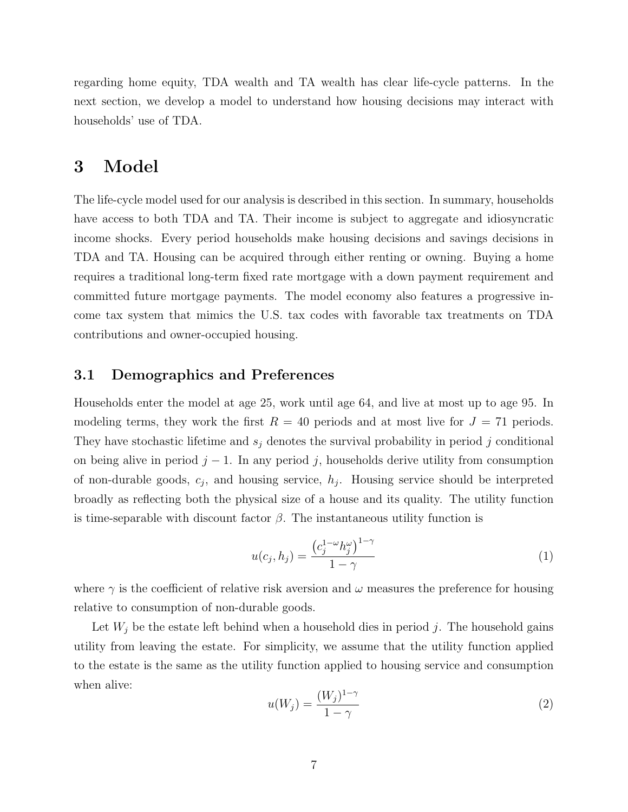regarding home equity, TDA wealth and TA wealth has clear life-cycle patterns. In the next section, we develop a model to understand how housing decisions may interact with households' use of TDA.

## <span id="page-6-0"></span>3 Model

The life-cycle model used for our analysis is described in this section. In summary, households have access to both TDA and TA. Their income is subject to aggregate and idiosyncratic income shocks. Every period households make housing decisions and savings decisions in TDA and TA. Housing can be acquired through either renting or owning. Buying a home requires a traditional long-term fixed rate mortgage with a down payment requirement and committed future mortgage payments. The model economy also features a progressive income tax system that mimics the U.S. tax codes with favorable tax treatments on TDA contributions and owner-occupied housing.

### 3.1 Demographics and Preferences

Households enter the model at age 25, work until age 64, and live at most up to age 95. In modeling terms, they work the first  $R = 40$  periods and at most live for  $J = 71$  periods. They have stochastic lifetime and  $s_i$  denotes the survival probability in period j conditional on being alive in period  $j - 1$ . In any period j, households derive utility from consumption of non-durable goods,  $c_j$ , and housing service,  $h_j$ . Housing service should be interpreted broadly as reflecting both the physical size of a house and its quality. The utility function is time-separable with discount factor  $\beta$ . The instantaneous utility function is

$$
u(c_j, h_j) = \frac{\left(c_j^{1-\omega}h_j^{\omega}\right)^{1-\gamma}}{1-\gamma} \tag{1}
$$

where  $\gamma$  is the coefficient of relative risk aversion and  $\omega$  measures the preference for housing relative to consumption of non-durable goods.

Let  $W_j$  be the estate left behind when a household dies in period j. The household gains utility from leaving the estate. For simplicity, we assume that the utility function applied to the estate is the same as the utility function applied to housing service and consumption when alive:

$$
u(W_j) = \frac{(W_j)^{1-\gamma}}{1-\gamma} \tag{2}
$$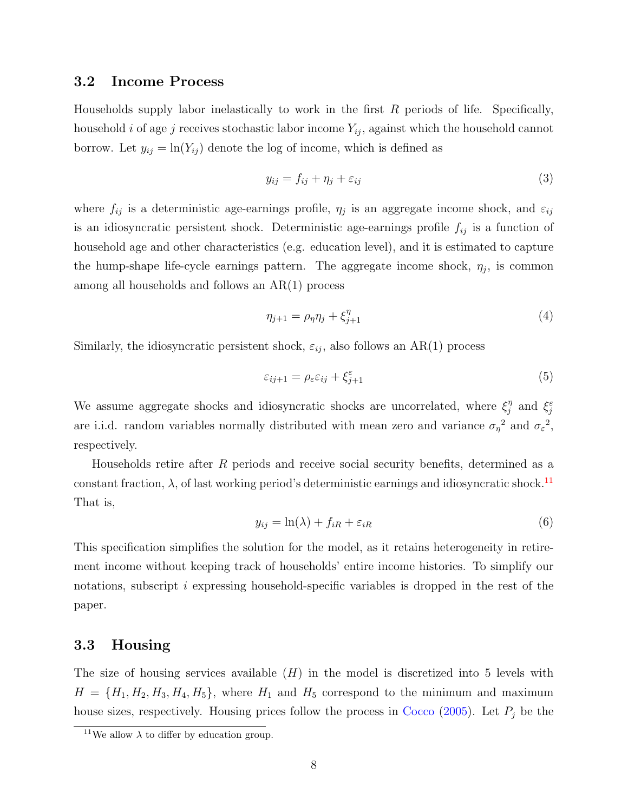### 3.2 Income Process

Households supply labor inelastically to work in the first  $R$  periods of life. Specifically, household i of age j receives stochastic labor income  $Y_{ij}$ , against which the household cannot borrow. Let  $y_{ij} = \ln(Y_{ij})$  denote the log of income, which is defined as

<span id="page-7-1"></span>
$$
y_{ij} = f_{ij} + \eta_j + \varepsilon_{ij} \tag{3}
$$

where  $f_{ij}$  is a deterministic age-earnings profile,  $\eta_j$  is an aggregate income shock, and  $\varepsilon_{ij}$ is an idiosyncratic persistent shock. Deterministic age-earnings profile  $f_{ij}$  is a function of household age and other characteristics (e.g. education level), and it is estimated to capture the hump-shape life-cycle earnings pattern. The aggregate income shock,  $\eta_j$ , is common among all households and follows an AR(1) process

$$
\eta_{j+1} = \rho_{\eta} \eta_j + \xi_{j+1}^{\eta} \tag{4}
$$

Similarly, the idiosyncratic persistent shock,  $\varepsilon_{ij}$ , also follows an AR(1) process

$$
\varepsilon_{ij+1} = \rho_{\varepsilon} \varepsilon_{ij} + \xi_{j+1}^{\varepsilon} \tag{5}
$$

We assume aggregate shocks and idiosyncratic shocks are uncorrelated, where  $\xi_i^{\eta}$  $j^{\eta}$  and  $\xi_j^{\varepsilon}$ are i.i.d. random variables normally distributed with mean zero and variance  $\sigma_{\eta}^2$  and  $\sigma_{\varepsilon}^2$ , respectively.

Households retire after R periods and receive social security benefits, determined as a constant fraction,  $\lambda$ , of last working period's deterministic earnings and idiosyncratic shock.<sup>[11](#page-7-0)</sup> That is,

<span id="page-7-2"></span>
$$
y_{ij} = \ln(\lambda) + f_{iR} + \varepsilon_{iR} \tag{6}
$$

This specification simplifies the solution for the model, as it retains heterogeneity in retirement income without keeping track of households' entire income histories. To simplify our notations, subscript i expressing household-specific variables is dropped in the rest of the paper.

### 3.3 Housing

The size of housing services available  $(H)$  in the model is discretized into 5 levels with  $H = \{H_1, H_2, H_3, H_4, H_5\}$ , where  $H_1$  and  $H_5$  correspond to the minimum and maximum house sizes, respectively. Housing prices follow the process in [Cocco](#page-27-8) [\(2005\)](#page-27-8). Let  $P_j$  be the

<span id="page-7-0"></span><sup>&</sup>lt;sup>11</sup>We allow  $\lambda$  to differ by education group.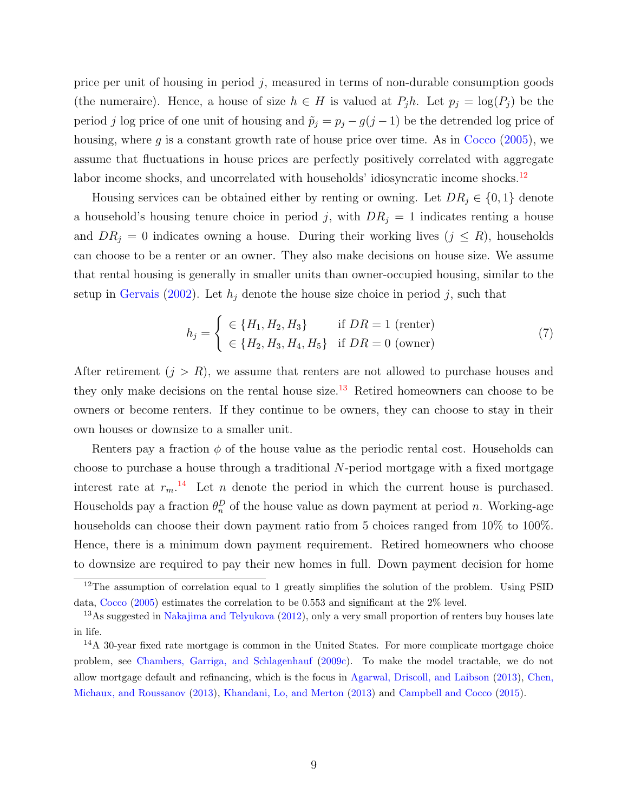price per unit of housing in period  $j$ , measured in terms of non-durable consumption goods (the numeraire). Hence, a house of size  $h \in H$  is valued at  $P_i h$ . Let  $p_i = \log(P_i)$  be the period j log price of one unit of housing and  $\tilde{p}_j = p_j - g(j-1)$  be the detrended log price of housing, where g is a constant growth rate of house price over time. As in  $Cocco (2005)$  $Cocco (2005)$  $Cocco (2005)$ , we assume that fluctuations in house prices are perfectly positively correlated with aggregate labor income shocks, and uncorrelated with households' idiosyncratic income shocks.<sup>[12](#page-8-0)</sup>

Housing services can be obtained either by renting or owning. Let  $DR_j \in \{0, 1\}$  denote a household's housing tenure choice in period j, with  $DR<sub>j</sub> = 1$  indicates renting a house and  $DR_j = 0$  indicates owning a house. During their working lives  $(j \leq R)$ , households can choose to be a renter or an owner. They also make decisions on house size. We assume that rental housing is generally in smaller units than owner-occupied housing, similar to the setup in [Gervais](#page-27-3) [\(2002\)](#page-27-3). Let  $h_j$  denote the house size choice in period j, such that

<span id="page-8-3"></span>
$$
h_j = \begin{cases} \in \{H_1, H_2, H_3\} & \text{if } DR = 1 \text{ (center)}\\ \in \{H_2, H_3, H_4, H_5\} & \text{if } DR = 0 \text{ (owner)} \end{cases}
$$
(7)

After retirement  $(j > R)$ , we assume that renters are not allowed to purchase houses and they only make decisions on the rental house size.<sup>[13](#page-8-1)</sup> Retired homeowners can choose to be owners or become renters. If they continue to be owners, they can choose to stay in their own houses or downsize to a smaller unit.

Renters pay a fraction  $\phi$  of the house value as the periodic rental cost. Households can choose to purchase a house through a traditional N-period mortgage with a fixed mortgage interest rate at  $r_m$ .<sup>[14](#page-8-2)</sup> Let *n* denote the period in which the current house is purchased. Households pay a fraction  $\theta_n^D$  of the house value as down payment at period n. Working-age households can choose their down payment ratio from 5 choices ranged from 10% to 100%. Hence, there is a minimum down payment requirement. Retired homeowners who choose to downsize are required to pay their new homes in full. Down payment decision for home

<span id="page-8-0"></span> $12$ The assumption of correlation equal to 1 greatly simplifies the solution of the problem. Using PSID data, [Cocco](#page-27-8) [\(2005\)](#page-27-8) estimates the correlation to be 0.553 and significant at the 2% level.

<span id="page-8-1"></span><sup>&</sup>lt;sup>13</sup>As suggested in [Nakajima and Telyukova](#page-29-9) [\(2012\)](#page-29-9), only a very small proportion of renters buy houses late in life.

<span id="page-8-2"></span><sup>&</sup>lt;sup>14</sup>A 30-year fixed rate mortgage is common in the United States. For more complicate mortgage choice problem, see [Chambers, Garriga, and Schlagenhauf](#page-26-9) [\(2009c\)](#page-26-9). To make the model tractable, we do not allow mortgage default and refinancing, which is the focus in [Agarwal, Driscoll, and Laibson](#page-26-10) [\(2013\)](#page-26-10), [Chen,](#page-27-11) [Michaux, and Roussanov](#page-27-11) [\(2013\)](#page-27-11), [Khandani, Lo, and Merton](#page-28-8) [\(2013\)](#page-28-8) and [Campbell and Cocco](#page-26-11) [\(2015\)](#page-26-11).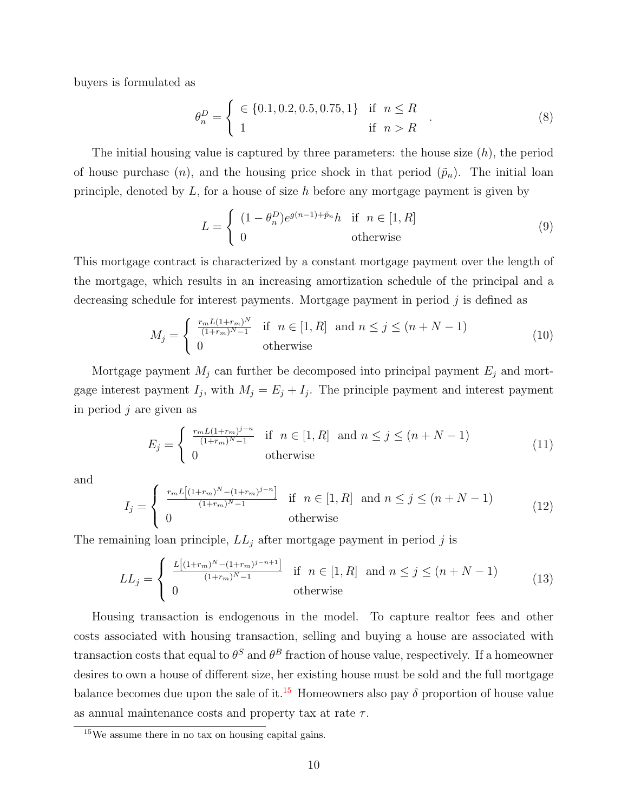buyers is formulated as

$$
\theta_n^D = \begin{cases} \in \{0.1, 0.2, 0.5, 0.75, 1\} & \text{if } n \le R \\ 1 & \text{if } n > R \end{cases}
$$
 (8)

The initial housing value is captured by three parameters: the house size  $(h)$ , the period of house purchase  $(n)$ , and the housing price shock in that period  $(\tilde{p}_n)$ . The initial loan principle, denoted by  $L$ , for a house of size h before any mortgage payment is given by

$$
L = \begin{cases} (1 - \theta_n^D)e^{g(n-1) + \tilde{p}_n}h & \text{if } n \in [1, R] \\ 0 & \text{otherwise} \end{cases}
$$
(9)

This mortgage contract is characterized by a constant mortgage payment over the length of the mortgage, which results in an increasing amortization schedule of the principal and a decreasing schedule for interest payments. Mortgage payment in period  $j$  is defined as

<span id="page-9-1"></span>
$$
M_j = \begin{cases} \frac{r_m L(1+r_m)^N}{(1+r_m)^{N}-1} & \text{if } n \in [1, R] \text{ and } n \le j \le (n+N-1) \\ 0 & \text{otherwise} \end{cases}
$$
(10)

Mortgage payment  $M_j$  can further be decomposed into principal payment  $E_j$  and mortgage interest payment  $I_j$ , with  $M_j = E_j + I_j$ . The principle payment and interest payment in period  $j$  are given as

$$
E_j = \begin{cases} \frac{r_m L(1+r_m)^{j-n}}{(1+r_m)^{N}-1} & \text{if } n \in [1, R] \text{ and } n \le j \le (n+N-1) \\ 0 & \text{otherwise} \end{cases} \tag{11}
$$

and

<span id="page-9-3"></span>
$$
I_j = \begin{cases} \frac{r_m L \left[ (1+r_m)^N - (1+r_m)^{j-n} \right]}{(1+r_m)^N - 1} & \text{if } n \in [1, R] \text{ and } n \le j \le (n+N-1) \\ 0 & \text{otherwise} \end{cases} \tag{12}
$$

The remaining loan principle,  $LL_j$  after mortgage payment in period j is

<span id="page-9-2"></span>
$$
LL_j = \begin{cases} \frac{L[(1+r_m)^N - (1+r_m)^{j-n+1}]}{(1+r_m)^N - 1} & \text{if } n \in [1, R] \text{ and } n \le j \le (n+N-1) \\ 0 & \text{otherwise} \end{cases} \tag{13}
$$

Housing transaction is endogenous in the model. To capture realtor fees and other costs associated with housing transaction, selling and buying a house are associated with transaction costs that equal to  $\theta^S$  and  $\theta^B$  fraction of house value, respectively. If a homeowner desires to own a house of different size, her existing house must be sold and the full mortgage balance becomes due upon the sale of it.<sup>[15](#page-9-0)</sup> Homeowners also pay  $\delta$  proportion of house value as annual maintenance costs and property tax at rate  $\tau$ .

<span id="page-9-0"></span><sup>15</sup>We assume there in no tax on housing capital gains.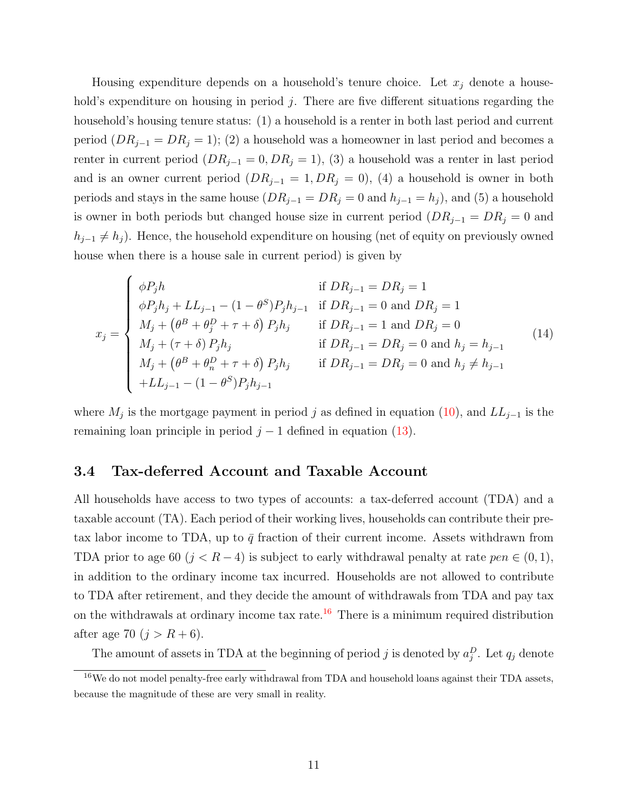Housing expenditure depends on a household's tenure choice. Let  $x_j$  denote a household's expenditure on housing in period  $j$ . There are five different situations regarding the household's housing tenure status: (1) a household is a renter in both last period and current period  $(DR_{j-1} = DR_j = 1);$  (2) a household was a homeowner in last period and becomes a renter in current period  $(DR_{j-1} = 0, DR_j = 1)$ , (3) a household was a renter in last period and is an owner current period  $(DR_{j-1} = 1, DR_j = 0)$ , (4) a household is owner in both periods and stays in the same house  $(DR_{j-1} = DR_j = 0$  and  $h_{j-1} = h_j)$ , and (5) a household is owner in both periods but changed house size in current period  $(DR_{j-1} = DR_j = 0$  and  $h_{j-1} \neq h_j$ ). Hence, the household expenditure on housing (net of equity on previously owned house when there is a house sale in current period) is given by

<span id="page-10-1"></span>
$$
x_{j} = \begin{cases} \phi P_{j}h & \text{if } DR_{j-1} = DR_{j} = 1\\ \phi P_{j}h_{j} + LL_{j-1} - (1 - \theta^{S})P_{j}h_{j-1} & \text{if } DR_{j-1} = 0 \text{ and } DR_{j} = 1\\ M_{j} + (\theta^{B} + \theta_{j}^{D} + \tau + \delta) P_{j}h_{j} & \text{if } DR_{j-1} = 1 \text{ and } DR_{j} = 0\\ M_{j} + (\tau + \delta) P_{j}h_{j} & \text{if } DR_{j-1} = DR_{j} = 0 \text{ and } h_{j} = h_{j-1}\\ M_{j} + (\theta^{B} + \theta_{n}^{D} + \tau + \delta) P_{j}h_{j} & \text{if } DR_{j-1} = DR_{j} = 0 \text{ and } h_{j} \neq h_{j-1}\\ + LL_{j-1} - (1 - \theta^{S})P_{j}h_{j-1} & \end{cases}
$$
(14)

where  $M_j$  is the mortgage payment in period j as defined in equation [\(10\)](#page-9-1), and  $LL_{j-1}$  is the remaining loan principle in period  $j - 1$  defined in equation [\(13\)](#page-9-2).

### 3.4 Tax-deferred Account and Taxable Account

All households have access to two types of accounts: a tax-deferred account (TDA) and a taxable account (TA). Each period of their working lives, households can contribute their pretax labor income to TDA, up to  $\bar{q}$  fraction of their current income. Assets withdrawn from TDA prior to age 60 ( $j < R-4$ ) is subject to early withdrawal penalty at rate  $pen \in (0,1)$ , in addition to the ordinary income tax incurred. Households are not allowed to contribute to TDA after retirement, and they decide the amount of withdrawals from TDA and pay tax on the withdrawals at ordinary income tax rate.<sup>[16](#page-10-0)</sup> There is a minimum required distribution after age 70  $(j > R + 6)$ .

<span id="page-10-0"></span>The amount of assets in TDA at the beginning of period j is denoted by  $a_j^D$ . Let  $q_j$  denote

 $16\text{We do not model penalty-free early withdrawal from TDA and household loans against their TDA assets}$ because the magnitude of these are very small in reality.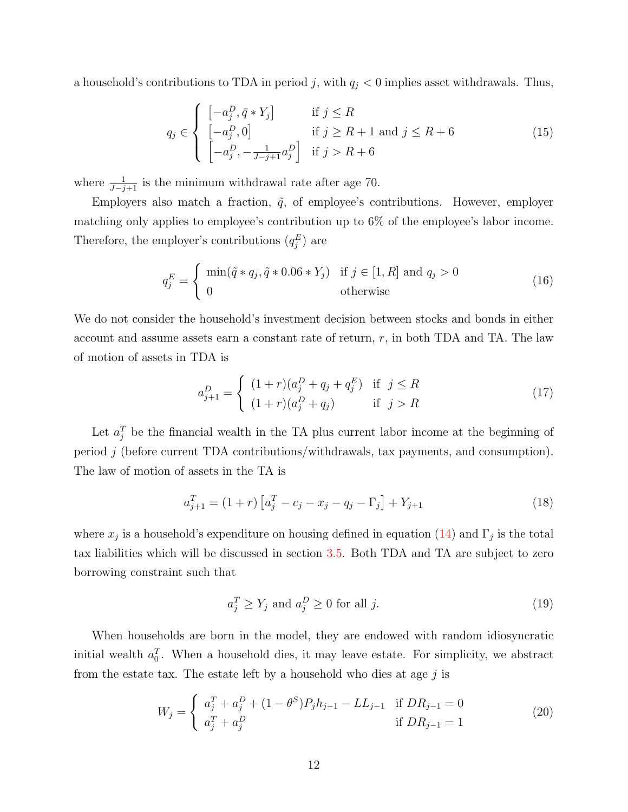a household's contributions to TDA in period j, with  $q_j < 0$  implies asset withdrawals. Thus,

$$
q_j \in \begin{cases} \begin{bmatrix} -a_j^D, \bar{q} * Y_j \end{bmatrix} & \text{if } j \le R\\ \begin{bmatrix} -a_j^D, 0 \end{bmatrix} & \text{if } j \ge R + 1 \text{ and } j \le R + 6\\ \begin{bmatrix} -a_j^D, -\frac{1}{J-j+1}a_j^D \end{bmatrix} & \text{if } j > R + 6 \end{cases} \tag{15}
$$

where  $\frac{1}{J-j+1}$  is the minimum withdrawal rate after age 70.

Employers also match a fraction,  $\tilde{q}$ , of employee's contributions. However, employer matching only applies to employee's contribution up to 6% of the employee's labor income. Therefore, the employer's contributions  $(q_j^E)$  are

$$
q_j^E = \begin{cases} \min(\tilde{q} * q_j, \tilde{q} * 0.06 * Y_j) & \text{if } j \in [1, R] \text{ and } q_j > 0\\ 0 & \text{otherwise} \end{cases}
$$
(16)

We do not consider the household's investment decision between stocks and bonds in either account and assume assets earn a constant rate of return,  $r$ , in both TDA and TA. The law of motion of assets in TDA is

$$
a_{j+1}^D = \begin{cases} (1+r)(a_j^D + q_j + q_j^E) & \text{if } j \le R \\ (1+r)(a_j^D + q_j) & \text{if } j > R \end{cases}
$$
(17)

Let  $a_j^T$  be the financial wealth in the TA plus current labor income at the beginning of period j (before current TDA contributions/withdrawals, tax payments, and consumption). The law of motion of assets in the TA is

$$
a_{j+1}^T = (1+r) \left[ a_j^T - c_j - x_j - q_j - \Gamma_j \right] + Y_{j+1}
$$
\n(18)

where  $x_j$  is a household's expenditure on housing defined in equation [\(14\)](#page-10-1) and  $\Gamma_j$  is the total tax liabilities which will be discussed in section [3.5.](#page-12-0) Both TDA and TA are subject to zero borrowing constraint such that

$$
a_j^T \ge Y_j \text{ and } a_j^D \ge 0 \text{ for all } j. \tag{19}
$$

When households are born in the model, they are endowed with random idiosyncratic initial wealth  $a_0^T$ . When a household dies, it may leave estate. For simplicity, we abstract from the estate tax. The estate left by a household who dies at age  $j$  is

$$
W_j = \begin{cases} a_j^T + a_j^D + (1 - \theta^S) P_j h_{j-1} - L L_{j-1} & \text{if } DR_{j-1} = 0\\ a_j^T + a_j^D & \text{if } DR_{j-1} = 1 \end{cases}
$$
(20)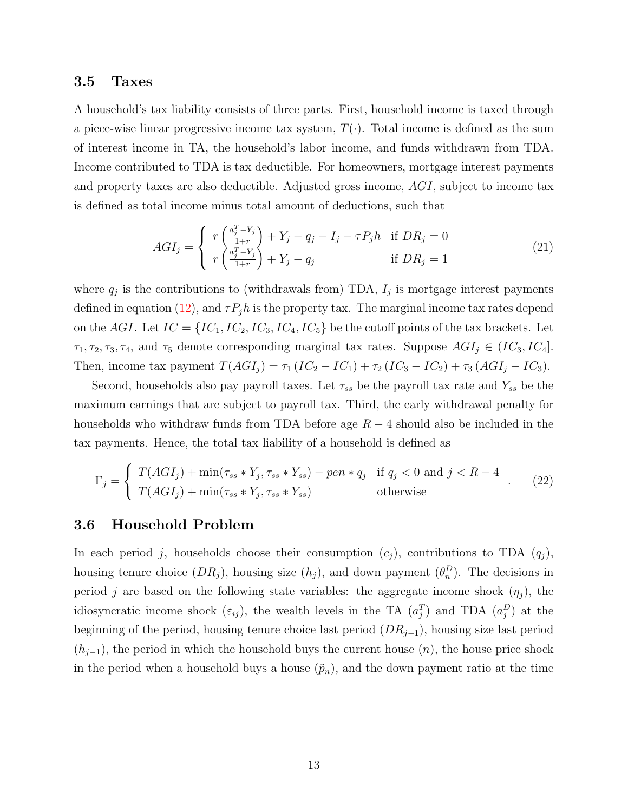#### <span id="page-12-0"></span>3.5 Taxes

A household's tax liability consists of three parts. First, household income is taxed through a piece-wise linear progressive income tax system,  $T(\cdot)$ . Total income is defined as the sum of interest income in TA, the household's labor income, and funds withdrawn from TDA. Income contributed to TDA is tax deductible. For homeowners, mortgage interest payments and property taxes are also deductible. Adjusted gross income, AGI, subject to income tax is defined as total income minus total amount of deductions, such that

<span id="page-12-2"></span>
$$
AGI_j = \begin{cases} r\left(\frac{a_j^T - Y_j}{1+r}\right) + Y_j - q_j - I_j - \tau P_j h & \text{if } DR_j = 0\\ r\left(\frac{a_j^T - Y_j}{1+r}\right) + Y_j - q_j & \text{if } DR_j = 1 \end{cases}
$$
\n
$$
(21)
$$

where  $q_j$  is the contributions to (withdrawals from) TDA,  $I_j$  is mortgage interest payments defined in equation [\(12\)](#page-9-3), and  $\tau P_j h$  is the property tax. The marginal income tax rates depend on the AGI. Let  $IC = \{IC_1, IC_2, IC_3, IC_4, IC_5\}$  be the cutoff points of the tax brackets. Let  $\tau_1, \tau_2, \tau_3, \tau_4$ , and  $\tau_5$  denote corresponding marginal tax rates. Suppose  $AGI_j \in (IC_3, IC_4]$ . Then, income tax payment  $T(AGI_j) = \tau_1 (IC_2 - IC_1) + \tau_2 (IC_3 - IC_2) + \tau_3 (AGI_j - IC_3)$ .

Second, households also pay payroll taxes. Let  $\tau_{ss}$  be the payroll tax rate and  $Y_{ss}$  be the maximum earnings that are subject to payroll tax. Third, the early withdrawal penalty for households who withdraw funds from TDA before age  $R-4$  should also be included in the tax payments. Hence, the total tax liability of a household is defined as

<span id="page-12-1"></span>
$$
\Gamma_j = \begin{cases}\nT(AGI_j) + \min(\tau_{ss} * Y_j, \tau_{ss} * Y_{ss}) - pen * q_j & \text{if } q_j < 0 \text{ and } j < R - 4 \\
T(AGI_j) + \min(\tau_{ss} * Y_j, \tau_{ss} * Y_{ss}) & \text{otherwise}\n\end{cases} \tag{22}
$$

### 3.6 Household Problem

In each period j, households choose their consumption  $(c_j)$ , contributions to TDA  $(q_j)$ , housing tenure choice  $(DR_j)$ , housing size  $(h_j)$ , and down payment  $(\theta_n^D)$ . The decisions in period j are based on the following state variables: the aggregate income shock  $(\eta_i)$ , the idiosyncratic income shock  $(\varepsilon_{ij})$ , the wealth levels in the TA  $(a_j^T)$  and TDA  $(a_j^D)$  at the beginning of the period, housing tenure choice last period  $(DR_{j-1})$ , housing size last period  $(h_{j-1})$ , the period in which the household buys the current house  $(n)$ , the house price shock in the period when a household buys a house  $(\tilde{p}_n)$ , and the down payment ratio at the time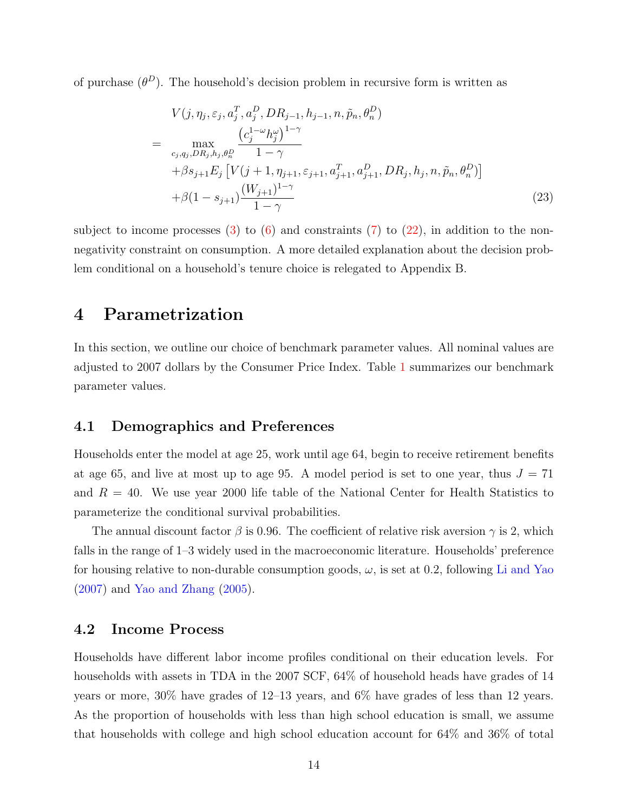of purchase  $(\theta^D)$ . The household's decision problem in recursive form is written as

<span id="page-13-1"></span>
$$
V(j, \eta_j, \varepsilon_j, a_j^T, a_j^D, DR_{j-1}, h_{j-1}, n, \tilde{p}_n, \theta_n^D)
$$
  
= 
$$
\max_{c_j, q_j, DR_j, h_j, \theta_n^D} \frac{\left(c_j^{1-\omega}h_j^{\omega}\right)^{1-\gamma}}{1-\gamma} + \beta s_{j+1} E_j \left[V(j+1, \eta_{j+1}, \varepsilon_{j+1}, a_{j+1}^T, a_{j+1}^D, DR_j, h_j, n, \tilde{p}_n, \theta_n^D)\right] + \beta (1 - s_{j+1}) \frac{\left(W_{j+1}\right)^{1-\gamma}}{1-\gamma}
$$
 (23)

subject to income processes  $(3)$  to  $(6)$  and constraints  $(7)$  to  $(22)$ , in addition to the nonnegativity constraint on consumption. A more detailed explanation about the decision problem conditional on a household's tenure choice is relegated to Appendix B.

## <span id="page-13-0"></span>4 Parametrization

In this section, we outline our choice of benchmark parameter values. All nominal values are adjusted to 2007 dollars by the Consumer Price Index. Table [1](#page-30-0) summarizes our benchmark parameter values.

#### 4.1 Demographics and Preferences

Households enter the model at age 25, work until age 64, begin to receive retirement benefits at age 65, and live at most up to age 95. A model period is set to one year, thus  $J = 71$ and  $R = 40$ . We use year 2000 life table of the National Center for Health Statistics to parameterize the conditional survival probabilities.

The annual discount factor  $\beta$  is 0.96. The coefficient of relative risk aversion  $\gamma$  is 2, which falls in the range of 1–3 widely used in the macroeconomic literature. Households' preference for housing relative to non-durable consumption goods,  $\omega$ , is set at 0.2, following [Li and Yao](#page-28-2) [\(2007\)](#page-28-2) and [Yao and Zhang](#page-29-5) [\(2005\)](#page-29-5).

### 4.2 Income Process

Households have different labor income profiles conditional on their education levels. For households with assets in TDA in the 2007 SCF, 64% of household heads have grades of 14 years or more, 30% have grades of 12–13 years, and 6% have grades of less than 12 years. As the proportion of households with less than high school education is small, we assume that households with college and high school education account for 64% and 36% of total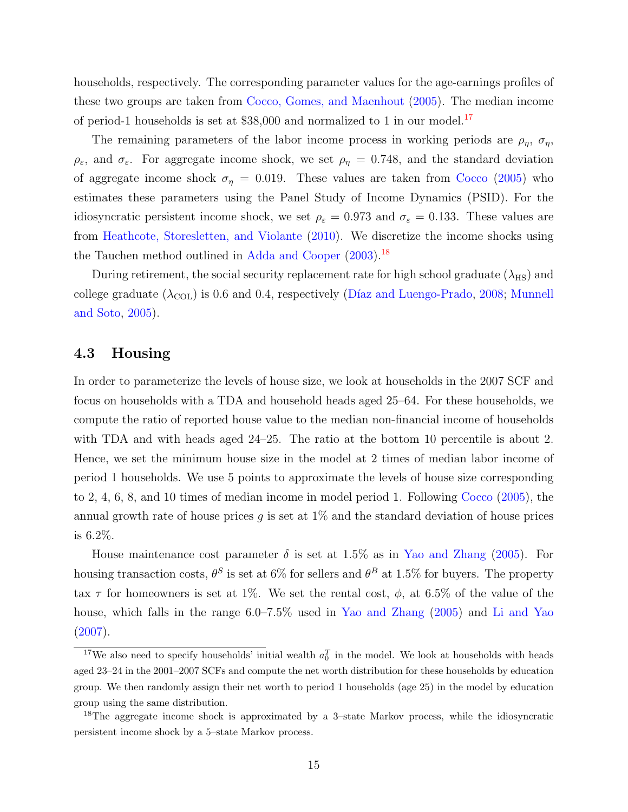households, respectively. The corresponding parameter values for the age-earnings profiles of these two groups are taken from [Cocco, Gomes, and Maenhout](#page-27-12) [\(2005\)](#page-27-12). The median income of period-1 households is set at  $$38,000$  and normalized to 1 in our model.<sup>[17](#page-14-0)</sup>

The remaining parameters of the labor income process in working periods are  $\rho_n$ ,  $\sigma_n$ ,  $\rho_{\varepsilon}$ , and  $\sigma_{\varepsilon}$ . For aggregate income shock, we set  $\rho_{\eta} = 0.748$ , and the standard deviation of aggregate income shock  $\sigma_{\eta} = 0.019$ . These values are taken from [Cocco](#page-27-8) [\(2005\)](#page-27-8) who estimates these parameters using the Panel Study of Income Dynamics (PSID). For the idiosyncratic persistent income shock, we set  $\rho_{\varepsilon} = 0.973$  and  $\sigma_{\varepsilon} = 0.133$ . These values are from [Heathcote, Storesletten, and Violante](#page-28-9) [\(2010\)](#page-28-9). We discretize the income shocks using the Tauchen method outlined in [Adda and Cooper](#page-26-12) [\(2003\)](#page-26-12).<sup>[18](#page-14-1)</sup>

During retirement, the social security replacement rate for high school graduate  $(\lambda_{\rm HS})$  and college graduate  $(\lambda_{\text{COL}})$  is 0.6 and 0.4, respectively (Díaz and Luengo-Prado, [2008;](#page-27-4) [Munnell](#page-29-10) [and Soto,](#page-29-10) [2005\)](#page-29-10).

### 4.3 Housing

In order to parameterize the levels of house size, we look at households in the 2007 SCF and focus on households with a TDA and household heads aged 25–64. For these households, we compute the ratio of reported house value to the median non-financial income of households with TDA and with heads aged 24–25. The ratio at the bottom 10 percentile is about 2. Hence, we set the minimum house size in the model at 2 times of median labor income of period 1 households. We use 5 points to approximate the levels of house size corresponding to 2, 4, 6, 8, and 10 times of median income in model period 1. Following [Cocco](#page-27-8) [\(2005\)](#page-27-8), the annual growth rate of house prices q is set at  $1\%$  and the standard deviation of house prices is 6.2%.

House maintenance cost parameter  $\delta$  is set at 1.5% as in [Yao and Zhang](#page-29-5) [\(2005\)](#page-29-5). For housing transaction costs,  $\theta^S$  is set at 6% for sellers and  $\theta^B$  at 1.5% for buyers. The property tax  $\tau$  for homeowners is set at 1%. We set the rental cost,  $\phi$ , at 6.5% of the value of the house, which falls in the range 6.0–7.5% used in [Yao and Zhang](#page-29-5) [\(2005\)](#page-29-5) and [Li and Yao](#page-28-2) [\(2007\)](#page-28-2).

<span id="page-14-0"></span><sup>&</sup>lt;sup>17</sup>We also need to specify households' initial wealth  $a_0^T$  in the model. We look at households with heads aged 23–24 in the 2001–2007 SCFs and compute the net worth distribution for these households by education group. We then randomly assign their net worth to period 1 households (age 25) in the model by education group using the same distribution.

<span id="page-14-1"></span><sup>&</sup>lt;sup>18</sup>The aggregate income shock is approximated by a 3-state Markov process, while the idiosyncratic persistent income shock by a 5–state Markov process.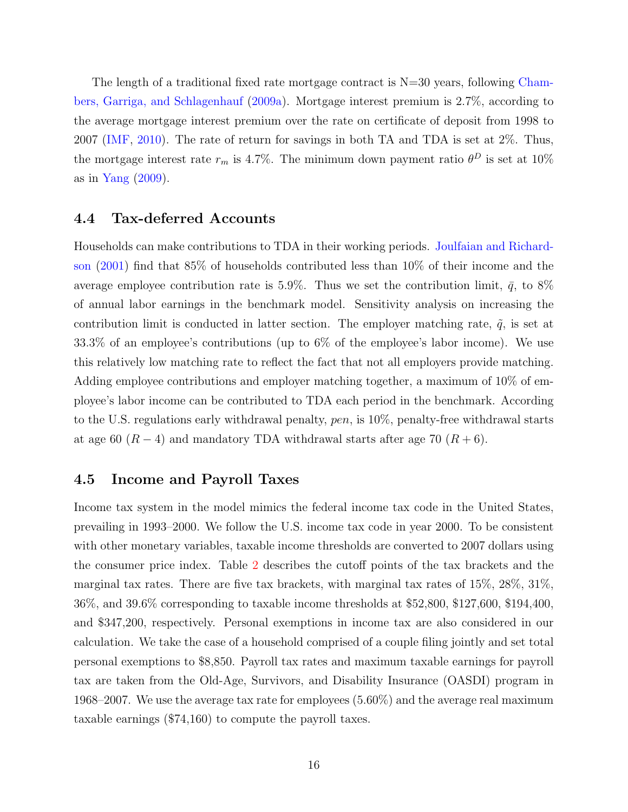The length of a traditional fixed rate mortgage contract is  $N=30$  years, following [Cham](#page-26-3)[bers, Garriga, and Schlagenhauf](#page-26-3) [\(2009a\)](#page-26-3). Mortgage interest premium is 2.7%, according to the average mortgage interest premium over the rate on certificate of deposit from 1998 to 2007 [\(IMF,](#page-28-10) [2010\)](#page-28-10). The rate of return for savings in both TA and TDA is set at 2%. Thus, the mortgage interest rate  $r_m$  is 4.7%. The minimum down payment ratio  $\theta^D$  is set at 10% as in [Yang](#page-29-3)  $(2009)$ .

### 4.4 Tax-deferred Accounts

Households can make contributions to TDA in their working periods. [Joulfaian and Richard](#page-28-11)[son](#page-28-11) [\(2001\)](#page-28-11) find that 85% of households contributed less than 10% of their income and the average employee contribution rate is 5.9%. Thus we set the contribution limit,  $\bar{q}$ , to 8% of annual labor earnings in the benchmark model. Sensitivity analysis on increasing the contribution limit is conducted in latter section. The employer matching rate,  $\tilde{q}$ , is set at 33.3% of an employee's contributions (up to 6% of the employee's labor income). We use this relatively low matching rate to reflect the fact that not all employers provide matching. Adding employee contributions and employer matching together, a maximum of 10% of employee's labor income can be contributed to TDA each period in the benchmark. According to the U.S. regulations early withdrawal penalty, pen, is 10%, penalty-free withdrawal starts at age 60 ( $R-4$ ) and mandatory TDA withdrawal starts after age 70 ( $R+6$ ).

### 4.5 Income and Payroll Taxes

Income tax system in the model mimics the federal income tax code in the United States, prevailing in 1993–2000. We follow the U.S. income tax code in year 2000. To be consistent with other monetary variables, taxable income thresholds are converted to 2007 dollars using the consumer price index. Table [2](#page-31-0) describes the cutoff points of the tax brackets and the marginal tax rates. There are five tax brackets, with marginal tax rates of 15%, 28%, 31%, 36%, and 39.6% corresponding to taxable income thresholds at \$52,800, \$127,600, \$194,400, and \$347,200, respectively. Personal exemptions in income tax are also considered in our calculation. We take the case of a household comprised of a couple filing jointly and set total personal exemptions to \$8,850. Payroll tax rates and maximum taxable earnings for payroll tax are taken from the Old-Age, Survivors, and Disability Insurance (OASDI) program in 1968–2007. We use the average tax rate for employees (5.60%) and the average real maximum taxable earnings (\$74,160) to compute the payroll taxes.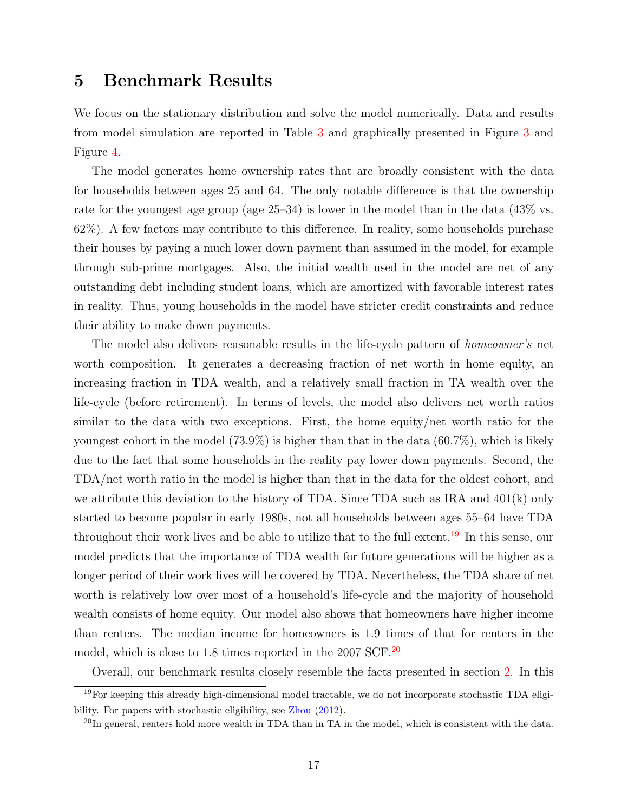## <span id="page-16-0"></span>5 Benchmark Results

We focus on the stationary distribution and solve the model numerically. Data and results from model simulation are reported in Table [3](#page-31-1) and graphically presented in Figure [3](#page-35-0) and Figure [4.](#page-35-1)

The model generates home ownership rates that are broadly consistent with the data for households between ages 25 and 64. The only notable difference is that the ownership rate for the youngest age group (age 25–34) is lower in the model than in the data (43% vs. 62%). A few factors may contribute to this difference. In reality, some households purchase their houses by paying a much lower down payment than assumed in the model, for example through sub-prime mortgages. Also, the initial wealth used in the model are net of any outstanding debt including student loans, which are amortized with favorable interest rates in reality. Thus, young households in the model have stricter credit constraints and reduce their ability to make down payments.

The model also delivers reasonable results in the life-cycle pattern of *homeowner's* net worth composition. It generates a decreasing fraction of net worth in home equity, an increasing fraction in TDA wealth, and a relatively small fraction in TA wealth over the life-cycle (before retirement). In terms of levels, the model also delivers net worth ratios similar to the data with two exceptions. First, the home equity/net worth ratio for the youngest cohort in the model  $(73.9\%)$  is higher than that in the data  $(60.7\%)$ , which is likely due to the fact that some households in the reality pay lower down payments. Second, the TDA/net worth ratio in the model is higher than that in the data for the oldest cohort, and we attribute this deviation to the history of TDA. Since TDA such as IRA and  $401(k)$  only started to become popular in early 1980s, not all households between ages 55–64 have TDA throughout their work lives and be able to utilize that to the full extent.<sup>[19](#page-16-1)</sup> In this sense, our model predicts that the importance of TDA wealth for future generations will be higher as a longer period of their work lives will be covered by TDA. Nevertheless, the TDA share of net worth is relatively low over most of a household's life-cycle and the majority of household wealth consists of home equity. Our model also shows that homeowners have higher income than renters. The median income for homeowners is 1.9 times of that for renters in the model, which is close to 1.8 times reported in the [20](#page-16-2)07 SCF.<sup>20</sup>

<span id="page-16-1"></span>Overall, our benchmark results closely resemble the facts presented in section [2.](#page-4-0) In this

 $19$ For keeping this already high-dimensional model tractable, we do not incorporate stochastic TDA eligibility. For papers with stochastic eligibility, see [Zhou](#page-29-11) [\(2012\)](#page-29-11).

<span id="page-16-2"></span> $^{20}$ In general, renters hold more wealth in TDA than in TA in the model, which is consistent with the data.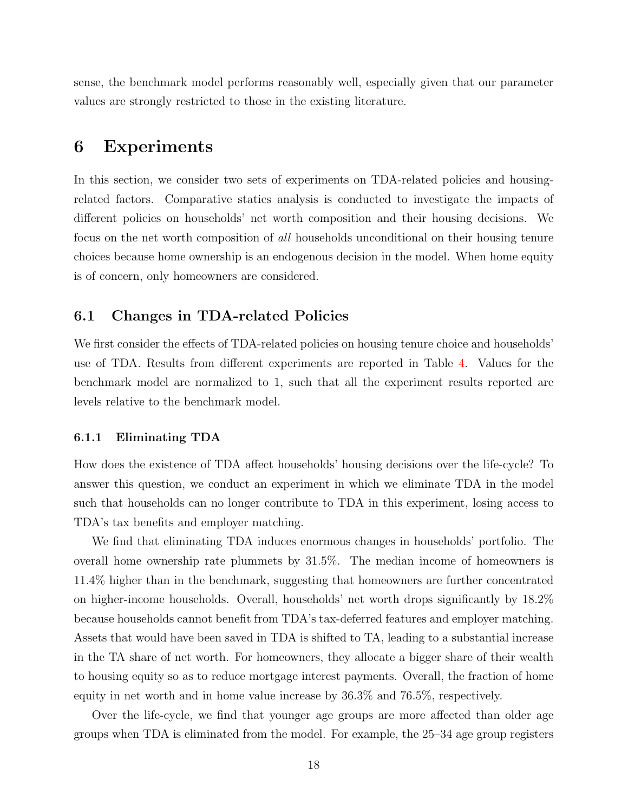sense, the benchmark model performs reasonably well, especially given that our parameter values are strongly restricted to those in the existing literature.

### <span id="page-17-0"></span>6 Experiments

In this section, we consider two sets of experiments on TDA-related policies and housingrelated factors. Comparative statics analysis is conducted to investigate the impacts of different policies on households' net worth composition and their housing decisions. We focus on the net worth composition of all households unconditional on their housing tenure choices because home ownership is an endogenous decision in the model. When home equity is of concern, only homeowners are considered.

### 6.1 Changes in TDA-related Policies

We first consider the effects of TDA-related policies on housing tenure choice and households' use of TDA. Results from different experiments are reported in Table [4.](#page-32-0) Values for the benchmark model are normalized to 1, such that all the experiment results reported are levels relative to the benchmark model.

#### 6.1.1 Eliminating TDA

How does the existence of TDA affect households' housing decisions over the life-cycle? To answer this question, we conduct an experiment in which we eliminate TDA in the model such that households can no longer contribute to TDA in this experiment, losing access to TDA's tax benefits and employer matching.

We find that eliminating TDA induces enormous changes in households' portfolio. The overall home ownership rate plummets by 31.5%. The median income of homeowners is 11.4% higher than in the benchmark, suggesting that homeowners are further concentrated on higher-income households. Overall, households' net worth drops significantly by 18.2% because households cannot benefit from TDA's tax-deferred features and employer matching. Assets that would have been saved in TDA is shifted to TA, leading to a substantial increase in the TA share of net worth. For homeowners, they allocate a bigger share of their wealth to housing equity so as to reduce mortgage interest payments. Overall, the fraction of home equity in net worth and in home value increase by 36.3% and 76.5%, respectively.

Over the life-cycle, we find that younger age groups are more affected than older age groups when TDA is eliminated from the model. For example, the 25–34 age group registers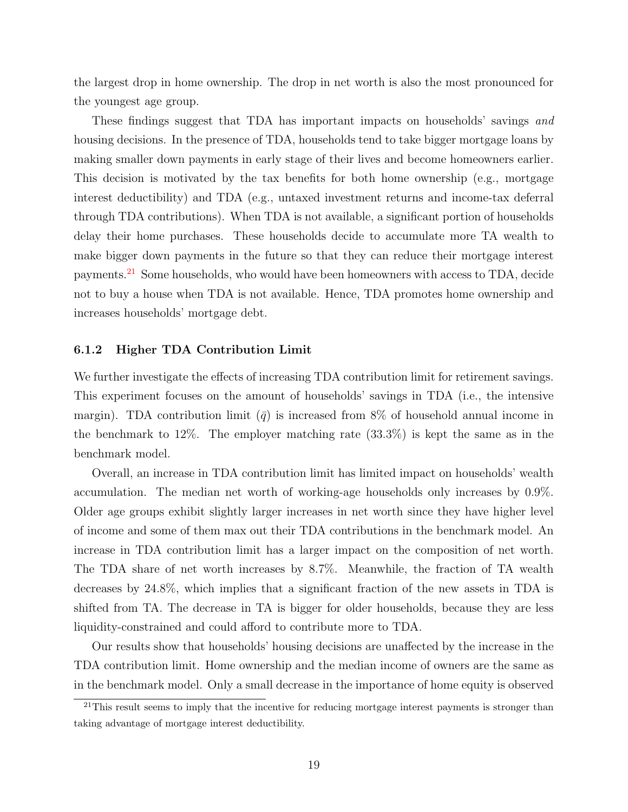the largest drop in home ownership. The drop in net worth is also the most pronounced for the youngest age group.

These findings suggest that TDA has important impacts on households' savings and housing decisions. In the presence of TDA, households tend to take bigger mortgage loans by making smaller down payments in early stage of their lives and become homeowners earlier. This decision is motivated by the tax benefits for both home ownership (e.g., mortgage interest deductibility) and TDA (e.g., untaxed investment returns and income-tax deferral through TDA contributions). When TDA is not available, a significant portion of households delay their home purchases. These households decide to accumulate more TA wealth to make bigger down payments in the future so that they can reduce their mortgage interest payments.[21](#page-18-0) Some households, who would have been homeowners with access to TDA, decide not to buy a house when TDA is not available. Hence, TDA promotes home ownership and increases households' mortgage debt.

#### 6.1.2 Higher TDA Contribution Limit

We further investigate the effects of increasing TDA contribution limit for retirement savings. This experiment focuses on the amount of households' savings in TDA (i.e., the intensive margin). TDA contribution limit  $\overline{q}$  is increased from 8% of household annual income in the benchmark to 12%. The employer matching rate (33.3%) is kept the same as in the benchmark model.

Overall, an increase in TDA contribution limit has limited impact on households' wealth accumulation. The median net worth of working-age households only increases by 0.9%. Older age groups exhibit slightly larger increases in net worth since they have higher level of income and some of them max out their TDA contributions in the benchmark model. An increase in TDA contribution limit has a larger impact on the composition of net worth. The TDA share of net worth increases by 8.7%. Meanwhile, the fraction of TA wealth decreases by 24.8%, which implies that a significant fraction of the new assets in TDA is shifted from TA. The decrease in TA is bigger for older households, because they are less liquidity-constrained and could afford to contribute more to TDA.

Our results show that households' housing decisions are unaffected by the increase in the TDA contribution limit. Home ownership and the median income of owners are the same as in the benchmark model. Only a small decrease in the importance of home equity is observed

<span id="page-18-0"></span> $^{21}$ This result seems to imply that the incentive for reducing mortgage interest payments is stronger than taking advantage of mortgage interest deductibility.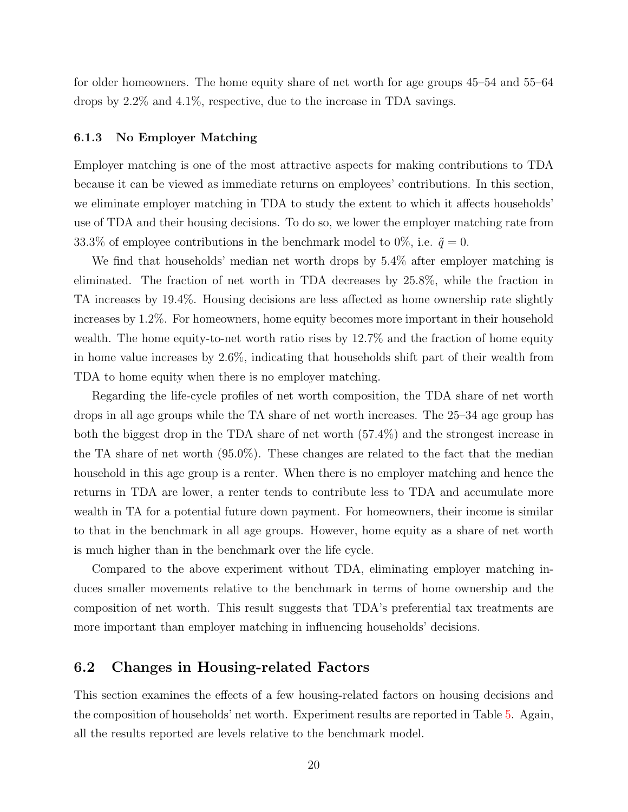for older homeowners. The home equity share of net worth for age groups 45–54 and 55–64 drops by 2.2% and 4.1%, respective, due to the increase in TDA savings.

#### 6.1.3 No Employer Matching

Employer matching is one of the most attractive aspects for making contributions to TDA because it can be viewed as immediate returns on employees' contributions. In this section, we eliminate employer matching in TDA to study the extent to which it affects households' use of TDA and their housing decisions. To do so, we lower the employer matching rate from 33.3% of employee contributions in the benchmark model to 0%, i.e.  $\tilde{q} = 0$ .

We find that households' median net worth drops by 5.4% after employer matching is eliminated. The fraction of net worth in TDA decreases by 25.8%, while the fraction in TA increases by 19.4%. Housing decisions are less affected as home ownership rate slightly increases by 1.2%. For homeowners, home equity becomes more important in their household wealth. The home equity-to-net worth ratio rises by 12.7% and the fraction of home equity in home value increases by 2.6%, indicating that households shift part of their wealth from TDA to home equity when there is no employer matching.

Regarding the life-cycle profiles of net worth composition, the TDA share of net worth drops in all age groups while the TA share of net worth increases. The 25–34 age group has both the biggest drop in the TDA share of net worth (57.4%) and the strongest increase in the TA share of net worth (95.0%). These changes are related to the fact that the median household in this age group is a renter. When there is no employer matching and hence the returns in TDA are lower, a renter tends to contribute less to TDA and accumulate more wealth in TA for a potential future down payment. For homeowners, their income is similar to that in the benchmark in all age groups. However, home equity as a share of net worth is much higher than in the benchmark over the life cycle.

Compared to the above experiment without TDA, eliminating employer matching induces smaller movements relative to the benchmark in terms of home ownership and the composition of net worth. This result suggests that TDA's preferential tax treatments are more important than employer matching in influencing households' decisions.

### 6.2 Changes in Housing-related Factors

This section examines the effects of a few housing-related factors on housing decisions and the composition of households' net worth. Experiment results are reported in Table [5.](#page-33-0) Again, all the results reported are levels relative to the benchmark model.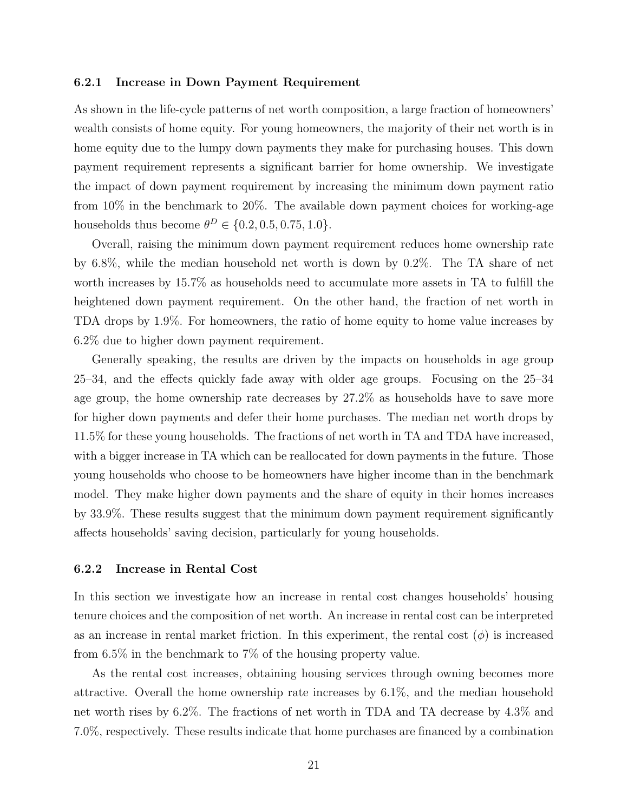#### 6.2.1 Increase in Down Payment Requirement

As shown in the life-cycle patterns of net worth composition, a large fraction of homeowners' wealth consists of home equity. For young homeowners, the majority of their net worth is in home equity due to the lumpy down payments they make for purchasing houses. This down payment requirement represents a significant barrier for home ownership. We investigate the impact of down payment requirement by increasing the minimum down payment ratio from 10% in the benchmark to 20%. The available down payment choices for working-age households thus become  $\theta^D \in \{0.2, 0.5, 0.75, 1.0\}.$ 

Overall, raising the minimum down payment requirement reduces home ownership rate by 6.8%, while the median household net worth is down by 0.2%. The TA share of net worth increases by 15.7% as households need to accumulate more assets in TA to fulfill the heightened down payment requirement. On the other hand, the fraction of net worth in TDA drops by 1.9%. For homeowners, the ratio of home equity to home value increases by 6.2% due to higher down payment requirement.

Generally speaking, the results are driven by the impacts on households in age group 25–34, and the effects quickly fade away with older age groups. Focusing on the 25–34 age group, the home ownership rate decreases by 27.2% as households have to save more for higher down payments and defer their home purchases. The median net worth drops by 11.5% for these young households. The fractions of net worth in TA and TDA have increased, with a bigger increase in TA which can be reallocated for down payments in the future. Those young households who choose to be homeowners have higher income than in the benchmark model. They make higher down payments and the share of equity in their homes increases by 33.9%. These results suggest that the minimum down payment requirement significantly affects households' saving decision, particularly for young households.

#### 6.2.2 Increase in Rental Cost

In this section we investigate how an increase in rental cost changes households' housing tenure choices and the composition of net worth. An increase in rental cost can be interpreted as an increase in rental market friction. In this experiment, the rental cost  $(\phi)$  is increased from 6.5% in the benchmark to 7% of the housing property value.

As the rental cost increases, obtaining housing services through owning becomes more attractive. Overall the home ownership rate increases by 6.1%, and the median household net worth rises by 6.2%. The fractions of net worth in TDA and TA decrease by 4.3% and 7.0%, respectively. These results indicate that home purchases are financed by a combination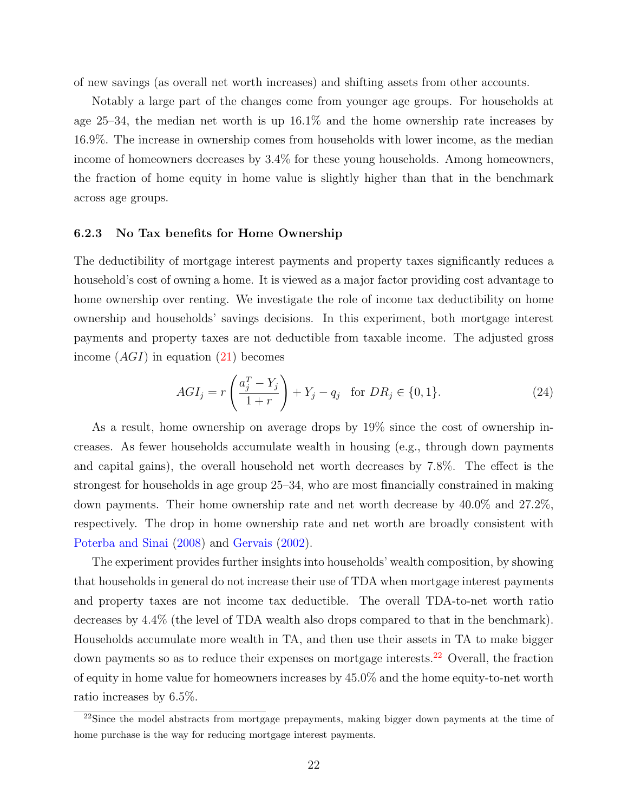of new savings (as overall net worth increases) and shifting assets from other accounts.

Notably a large part of the changes come from younger age groups. For households at age 25–34, the median net worth is up 16.1% and the home ownership rate increases by 16.9%. The increase in ownership comes from households with lower income, as the median income of homeowners decreases by 3.4% for these young households. Among homeowners, the fraction of home equity in home value is slightly higher than that in the benchmark across age groups.

#### 6.2.3 No Tax benefits for Home Ownership

The deductibility of mortgage interest payments and property taxes significantly reduces a household's cost of owning a home. It is viewed as a major factor providing cost advantage to home ownership over renting. We investigate the role of income tax deductibility on home ownership and households' savings decisions. In this experiment, both mortgage interest payments and property taxes are not deductible from taxable income. The adjusted gross income  $(AGI)$  in equation  $(21)$  becomes

$$
AGI_j = r\left(\frac{a_j^T - Y_j}{1+r}\right) + Y_j - q_j \text{ for } DR_j \in \{0, 1\}.
$$
 (24)

As a result, home ownership on average drops by 19% since the cost of ownership increases. As fewer households accumulate wealth in housing (e.g., through down payments and capital gains), the overall household net worth decreases by 7.8%. The effect is the strongest for households in age group 25–34, who are most financially constrained in making down payments. Their home ownership rate and net worth decrease by 40.0% and 27.2%, respectively. The drop in home ownership rate and net worth are broadly consistent with [Poterba and Sinai](#page-29-12) [\(2008\)](#page-29-12) and [Gervais](#page-27-3) [\(2002\)](#page-27-3).

The experiment provides further insights into households' wealth composition, by showing that households in general do not increase their use of TDA when mortgage interest payments and property taxes are not income tax deductible. The overall TDA-to-net worth ratio decreases by 4.4% (the level of TDA wealth also drops compared to that in the benchmark). Households accumulate more wealth in TA, and then use their assets in TA to make bigger down payments so as to reduce their expenses on mortgage interests.<sup>[22](#page-21-0)</sup> Overall, the fraction of equity in home value for homeowners increases by 45.0% and the home equity-to-net worth ratio increases by 6.5%.

<span id="page-21-0"></span> $^{22}$ Since the model abstracts from mortgage prepayments, making bigger down payments at the time of home purchase is the way for reducing mortgage interest payments.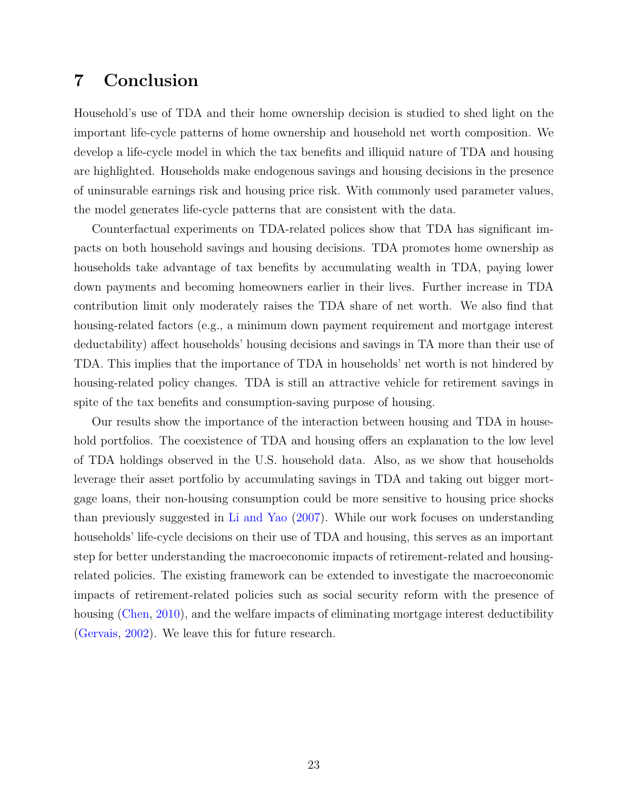## <span id="page-22-0"></span>7 Conclusion

Household's use of TDA and their home ownership decision is studied to shed light on the important life-cycle patterns of home ownership and household net worth composition. We develop a life-cycle model in which the tax benefits and illiquid nature of TDA and housing are highlighted. Households make endogenous savings and housing decisions in the presence of uninsurable earnings risk and housing price risk. With commonly used parameter values, the model generates life-cycle patterns that are consistent with the data.

Counterfactual experiments on TDA-related polices show that TDA has significant impacts on both household savings and housing decisions. TDA promotes home ownership as households take advantage of tax benefits by accumulating wealth in TDA, paying lower down payments and becoming homeowners earlier in their lives. Further increase in TDA contribution limit only moderately raises the TDA share of net worth. We also find that housing-related factors (e.g., a minimum down payment requirement and mortgage interest deductability) affect households' housing decisions and savings in TA more than their use of TDA. This implies that the importance of TDA in households' net worth is not hindered by housing-related policy changes. TDA is still an attractive vehicle for retirement savings in spite of the tax benefits and consumption-saving purpose of housing.

Our results show the importance of the interaction between housing and TDA in household portfolios. The coexistence of TDA and housing offers an explanation to the low level of TDA holdings observed in the U.S. household data. Also, as we show that households leverage their asset portfolio by accumulating savings in TDA and taking out bigger mortgage loans, their non-housing consumption could be more sensitive to housing price shocks than previously suggested in [Li and Yao](#page-28-2) [\(2007\)](#page-28-2). While our work focuses on understanding households' life-cycle decisions on their use of TDA and housing, this serves as an important step for better understanding the macroeconomic impacts of retirement-related and housingrelated policies. The existing framework can be extended to investigate the macroeconomic impacts of retirement-related policies such as social security reform with the presence of housing [\(Chen,](#page-27-5) [2010\)](#page-27-5), and the welfare impacts of eliminating mortgage interest deductibility [\(Gervais,](#page-27-3) [2002\)](#page-27-3). We leave this for future research.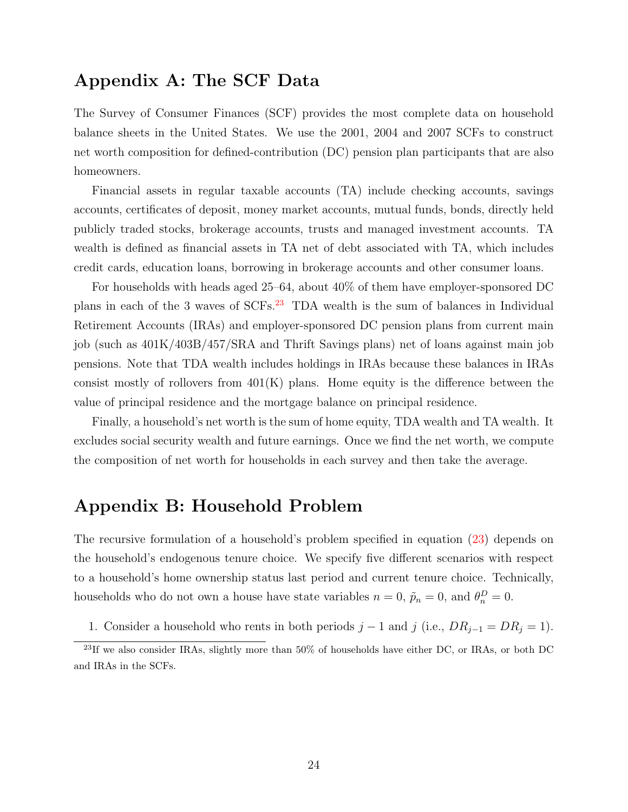## Appendix A: The SCF Data

The Survey of Consumer Finances (SCF) provides the most complete data on household balance sheets in the United States. We use the 2001, 2004 and 2007 SCFs to construct net worth composition for defined-contribution (DC) pension plan participants that are also homeowners.

Financial assets in regular taxable accounts (TA) include checking accounts, savings accounts, certificates of deposit, money market accounts, mutual funds, bonds, directly held publicly traded stocks, brokerage accounts, trusts and managed investment accounts. TA wealth is defined as financial assets in TA net of debt associated with TA, which includes credit cards, education loans, borrowing in brokerage accounts and other consumer loans.

For households with heads aged 25–64, about 40% of them have employer-sponsored DC plans in each of the 3 waves of SCFs.[23](#page-23-0) TDA wealth is the sum of balances in Individual Retirement Accounts (IRAs) and employer-sponsored DC pension plans from current main job (such as 401K/403B/457/SRA and Thrift Savings plans) net of loans against main job pensions. Note that TDA wealth includes holdings in IRAs because these balances in IRAs consist mostly of rollovers from  $401(K)$  plans. Home equity is the difference between the value of principal residence and the mortgage balance on principal residence.

Finally, a household's net worth is the sum of home equity, TDA wealth and TA wealth. It excludes social security wealth and future earnings. Once we find the net worth, we compute the composition of net worth for households in each survey and then take the average.

## Appendix B: Household Problem

The recursive formulation of a household's problem specified in equation [\(23\)](#page-13-1) depends on the household's endogenous tenure choice. We specify five different scenarios with respect to a household's home ownership status last period and current tenure choice. Technically, households who do not own a house have state variables  $n = 0$ ,  $\tilde{p}_n = 0$ , and  $\theta_n^D = 0$ .

1. Consider a household who rents in both periods  $j - 1$  and  $j$  (i.e.,  $DR_{j-1} = DR_j = 1$ ).

<span id="page-23-0"></span><sup>&</sup>lt;sup>23</sup>If we also consider IRAs, slightly more than 50% of households have either DC, or IRAs, or both DC and IRAs in the SCFs.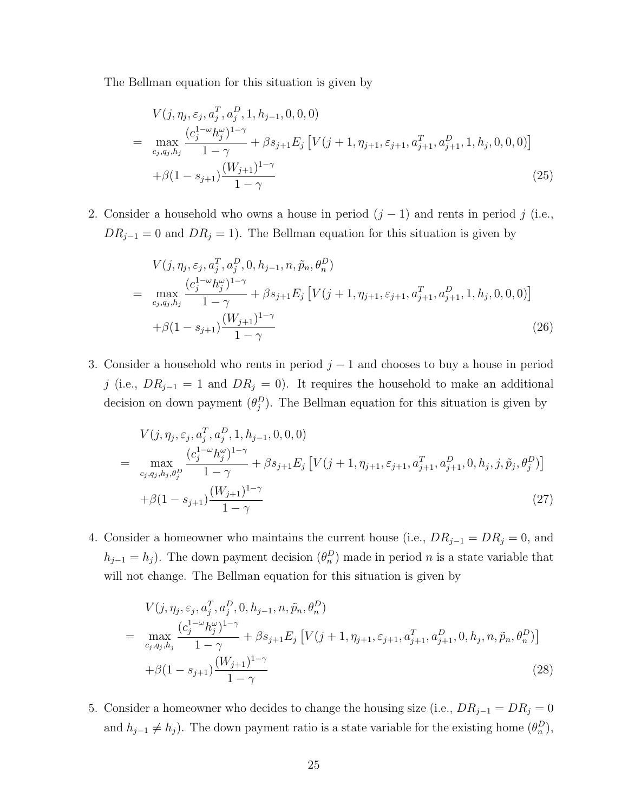The Bellman equation for this situation is given by

$$
V(j, \eta_j, \varepsilon_j, a_j^T, a_j^D, 1, h_{j-1}, 0, 0, 0)
$$
  
= 
$$
\max_{c_j, q_j, h_j} \frac{(c_j^{1-\omega}h_j^{\omega})^{1-\gamma}}{1-\gamma} + \beta s_{j+1} E_j \left[ V(j+1, \eta_{j+1}, \varepsilon_{j+1}, a_{j+1}^T, a_{j+1}^D, 1, h_j, 0, 0, 0) \right]
$$
  
+ 
$$
\beta (1 - s_{j+1}) \frac{(W_{j+1})^{1-\gamma}}{1-\gamma}
$$
 (25)

2. Consider a household who owns a house in period  $(j-1)$  and rents in period j (i.e.,  $DR_{j-1} = 0$  and  $DR_j = 1$ ). The Bellman equation for this situation is given by

$$
V(j, \eta_j, \varepsilon_j, a_j^T, a_j^D, 0, h_{j-1}, n, \tilde{p}_n, \theta_n^D)
$$
  
= 
$$
\max_{c_j, q_j, h_j} \frac{(c_j^{1-\omega}h_j^{\omega})^{1-\gamma}}{1-\gamma} + \beta s_{j+1} E_j \left[ V(j+1, \eta_{j+1}, \varepsilon_{j+1}, a_{j+1}^T, a_{j+1}^D, 1, h_j, 0, 0, 0) \right]
$$
  
+ 
$$
\beta (1 - s_{j+1}) \frac{(W_{j+1})^{1-\gamma}}{1-\gamma}
$$
 (26)

3. Consider a household who rents in period  $j-1$  and chooses to buy a house in period j (i.e.,  $DR_{j-1} = 1$  and  $DR_j = 0$ ). It requires the household to make an additional decision on down payment  $(\theta_j^D)$ . The Bellman equation for this situation is given by

$$
V(j, \eta_j, \varepsilon_j, a_j^T, a_j^D, 1, h_{j-1}, 0, 0, 0)
$$
  
= 
$$
\max_{c_j, q_j, h_j, \theta_j^D} \frac{(c_j^{1-\omega} h_j^{\omega})^{1-\gamma}}{1-\gamma} + \beta s_{j+1} E_j \left[ V(j+1, \eta_{j+1}, \varepsilon_{j+1}, a_{j+1}^T, a_{j+1}^D, 0, h_j, j, \tilde{p}_j, \theta_j^D) \right]
$$
  
+ 
$$
\beta (1 - s_{j+1}) \frac{(W_{j+1})^{1-\gamma}}{1-\gamma}
$$
 (27)

4. Consider a homeowner who maintains the current house (i.e.,  $DR_{j-1} = DR_j = 0$ , and  $h_{j-1} = h_j$ ). The down payment decision  $(\theta_n^D)$  made in period n is a state variable that will not change. The Bellman equation for this situation is given by

$$
V(j, \eta_j, \varepsilon_j, a_j^T, a_j^D, 0, h_{j-1}, n, \tilde{p}_n, \theta_n^D)
$$
  
= 
$$
\max_{c_j, q_j, h_j} \frac{(c_j^{1-\omega}h_j^{\omega})^{1-\gamma}}{1-\gamma} + \beta s_{j+1}E_j \left[ V(j+1, \eta_{j+1}, \varepsilon_{j+1}, a_{j+1}^T, a_{j+1}^D, 0, h_j, n, \tilde{p}_n, \theta_n^D) \right]
$$
  
+ 
$$
\beta (1 - s_{j+1}) \frac{(W_{j+1})^{1-\gamma}}{1-\gamma}
$$
 (28)

5. Consider a homeowner who decides to change the housing size (i.e.,  $DR_{j-1} = DR_j = 0$ and  $h_{j-1} \neq h_j$ ). The down payment ratio is a state variable for the existing home  $(\theta_n^D)$ ,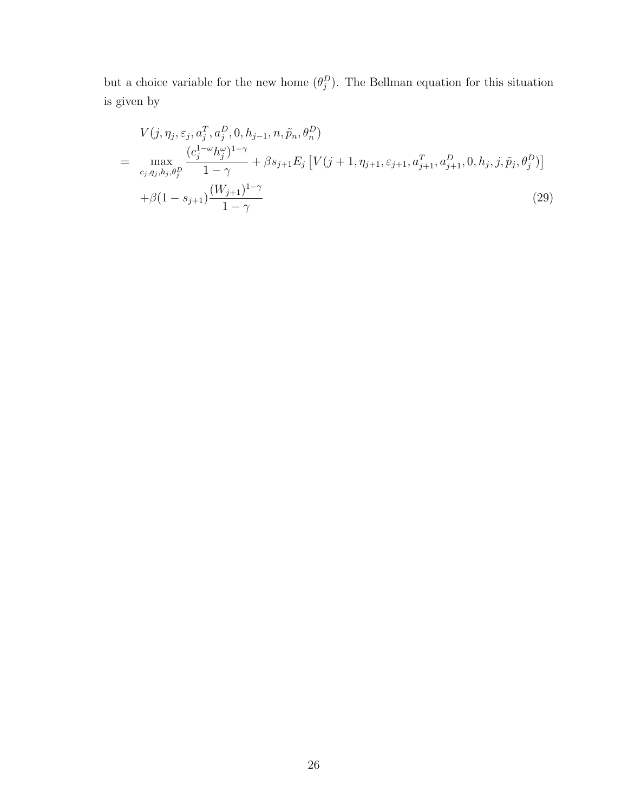but a choice variable for the new home  $(\theta_j^D)$ . The Bellman equation for this situation is given by

$$
V(j, \eta_j, \varepsilon_j, a_j^T, a_j^D, 0, h_{j-1}, n, \tilde{p}_n, \theta_n^D)
$$
  
= 
$$
\max_{c_j, q_j, h_j, \theta_j^D} \frac{(c_j^{1-\omega} h_j^{\omega})^{1-\gamma}}{1-\gamma} + \beta s_{j+1} E_j \left[ V(j+1, \eta_{j+1}, \varepsilon_{j+1}, a_{j+1}^T, a_{j+1}^D, 0, h_j, j, \tilde{p}_j, \theta_j^D) \right]
$$
  
+ 
$$
\beta (1 - s_{j+1}) \frac{(W_{j+1})^{1-\gamma}}{1-\gamma}
$$
 (29)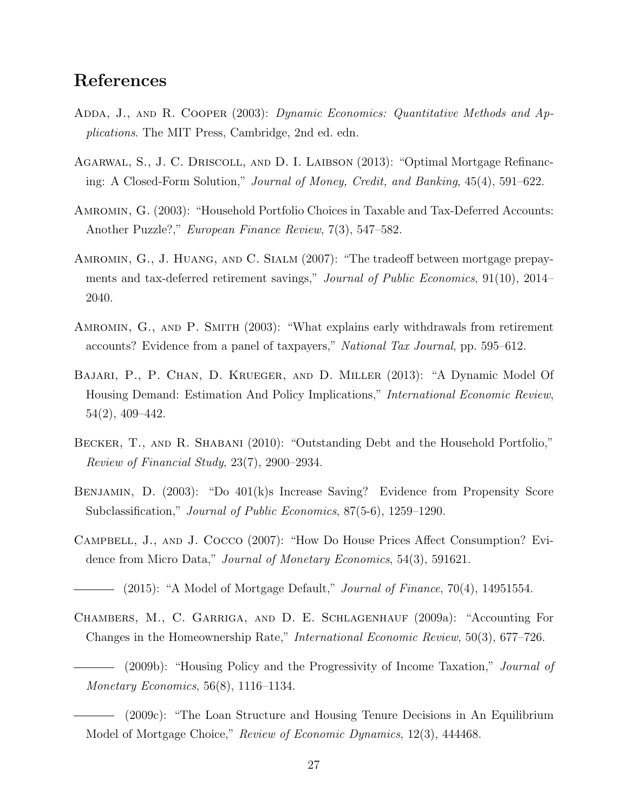## References

- <span id="page-26-12"></span>ADDA, J., AND R. COOPER (2003): Dynamic Economics: Quantitative Methods and Applications. The MIT Press, Cambridge, 2nd ed. edn.
- <span id="page-26-10"></span>Agarwal, S., J. C. Driscoll, and D. I. Laibson (2013): "Optimal Mortgage Refinancing: A Closed-Form Solution," Journal of Money, Credit, and Banking, 45(4), 591–622.
- <span id="page-26-8"></span>Amromin, G. (2003): "Household Portfolio Choices in Taxable and Tax-Deferred Accounts: Another Puzzle?," European Finance Review, 7(3), 547–582.
- <span id="page-26-6"></span>Amromin, G., J. Huang, and C. Sialm (2007): "The tradeoff between mortgage prepayments and tax-deferred retirement savings," Journal of Public Economics, 91(10), 2014– 2040.
- <span id="page-26-1"></span>AMROMIN, G., AND P. SMITH (2003): "What explains early withdrawals from retirement accounts? Evidence from a panel of taxpayers," National Tax Journal, pp. 595–612.
- <span id="page-26-4"></span>Bajari, P., P. Chan, D. Krueger, and D. Miller (2013): "A Dynamic Model Of Housing Demand: Estimation And Policy Implications," International Economic Review, 54(2), 409–442.
- <span id="page-26-7"></span>BECKER, T., AND R. SHABANI (2010): "Outstanding Debt and the Household Portfolio," Review of Financial Study, 23(7), 2900–2934.
- <span id="page-26-0"></span>Benjamin, D. (2003): "Do 401(k)s Increase Saving? Evidence from Propensity Score Subclassification," *Journal of Public Economics*, 87(5-6), 1259–1290.
- <span id="page-26-11"></span><span id="page-26-5"></span>Campbell, J., and J. Cocco (2007): "How Do House Prices Affect Consumption? Evidence from Micro Data," *Journal of Monetary Economics*, 54(3), 591621.
	- $-$  (2015): "A Model of Mortgage Default," *Journal of Finance*, 70(4), 14951554.
- <span id="page-26-9"></span><span id="page-26-3"></span><span id="page-26-2"></span>Chambers, M., C. Garriga, and D. E. Schlagenhauf (2009a): "Accounting For Changes in the Homeownership Rate," International Economic Review, 50(3), 677–726.
	- (2009b): "Housing Policy and the Progressivity of Income Taxation," Journal of Monetary Economics, 56(8), 1116–1134.
	- (2009c): "The Loan Structure and Housing Tenure Decisions in An Equilibrium Model of Mortgage Choice," Review of Economic Dynamics, 12(3), 444468.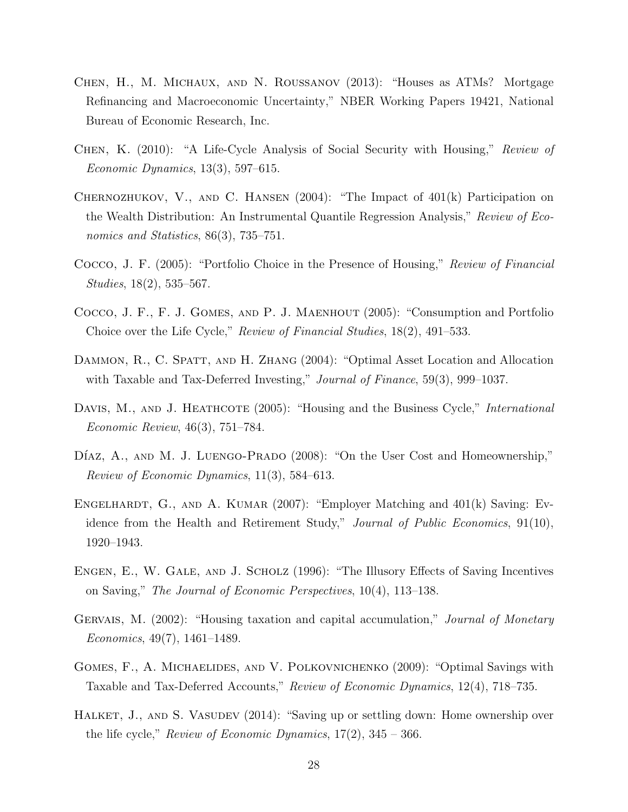- <span id="page-27-11"></span>Chen, H., M. Michaux, and N. Roussanov (2013): "Houses as ATMs? Mortgage Refinancing and Macroeconomic Uncertainty," NBER Working Papers 19421, National Bureau of Economic Research, Inc.
- <span id="page-27-5"></span>Chen, K. (2010): "A Life-Cycle Analysis of Social Security with Housing," Review of Economic Dynamics, 13(3), 597–615.
- <span id="page-27-2"></span>CHERNOZHUKOV, V., AND C. HANSEN  $(2004)$ : "The Impact of  $401(k)$  Participation on the Wealth Distribution: An Instrumental Quantile Regression Analysis," Review of Economics and Statistics, 86(3), 735–751.
- <span id="page-27-8"></span>Cocco, J. F. (2005): "Portfolio Choice in the Presence of Housing," Review of Financial Studies, 18(2), 535–567.
- <span id="page-27-12"></span>Cocco, J. F., F. J. Gomes, and P. J. Maenhout (2005): "Consumption and Portfolio Choice over the Life Cycle," Review of Financial Studies, 18(2), 491–533.
- <span id="page-27-9"></span>DAMMON, R., C. SPATT, AND H. ZHANG (2004): "Optimal Asset Location and Allocation with Taxable and Tax-Deferred Investing," *Journal of Finance*, 59(3), 999–1037.
- <span id="page-27-7"></span>DAVIS, M., AND J. HEATHCOTE (2005): "Housing and the Business Cycle," *International* Economic Review, 46(3), 751–784.
- <span id="page-27-4"></span>DÍAZ, A., AND M. J. LUENGO-PRADO (2008): "On the User Cost and Homeownership," Review of Economic Dynamics, 11(3), 584–613.
- <span id="page-27-1"></span>ENGELHARDT, G., AND A. KUMAR (2007): "Employer Matching and 401(k) Saving: Evidence from the Health and Retirement Study," Journal of Public Economics, 91(10), 1920–1943.
- <span id="page-27-0"></span>Engen, E., W. Gale, and J. Scholz (1996): "The Illusory Effects of Saving Incentives on Saving," The Journal of Economic Perspectives, 10(4), 113–138.
- <span id="page-27-3"></span>GERVAIS, M. (2002): "Housing taxation and capital accumulation," *Journal of Monetary* Economics, 49(7), 1461–1489.
- <span id="page-27-10"></span>Gomes, F., A. Michaelides, and V. Polkovnichenko (2009): "Optimal Savings with Taxable and Tax-Deferred Accounts," Review of Economic Dynamics, 12(4), 718–735.
- <span id="page-27-6"></span>HALKET, J., AND S. VASUDEV (2014): "Saving up or settling down: Home ownership over the life cycle," Review of Economic Dynamics,  $17(2)$ ,  $345 - 366$ .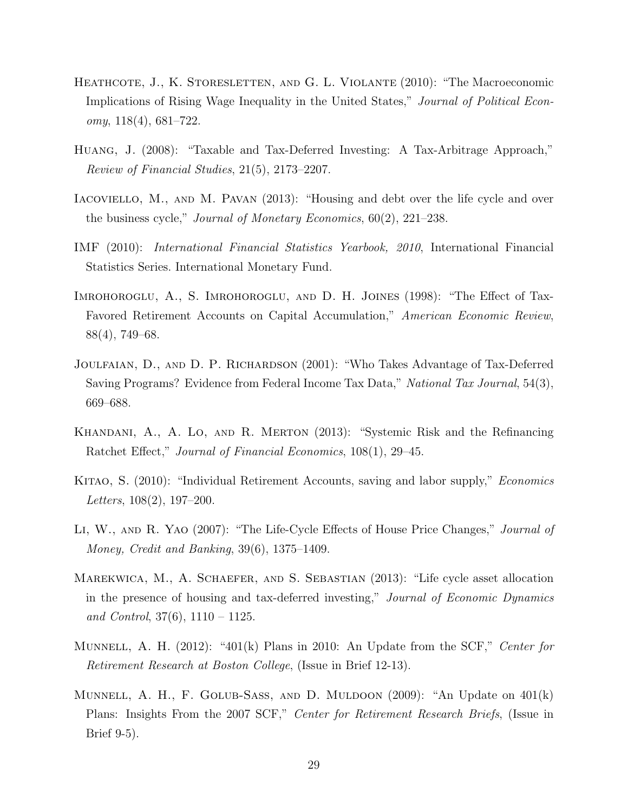- <span id="page-28-9"></span>HEATHCOTE, J., K. STORESLETTEN, AND G. L. VIOLANTE (2010): "The Macroeconomic Implications of Rising Wage Inequality in the United States," Journal of Political Econ $omy, 118(4), 681–722.$
- <span id="page-28-6"></span>Huang, J. (2008): "Taxable and Tax-Deferred Investing: A Tax-Arbitrage Approach," Review of Financial Studies, 21(5), 2173–2207.
- <span id="page-28-5"></span>IACOVIELLO, M., AND M. PAVAN (2013): "Housing and debt over the life cycle and over the business cycle," Journal of Monetary Economics, 60(2), 221–238.
- <span id="page-28-10"></span>IMF (2010): International Financial Statistics Yearbook, 2010, International Financial Statistics Series. International Monetary Fund.
- <span id="page-28-0"></span>Imrohoroglu, A., S. Imrohoroglu, and D. H. Joines (1998): "The Effect of Tax-Favored Retirement Accounts on Capital Accumulation," American Economic Review, 88(4), 749–68.
- <span id="page-28-11"></span>Joulfaian, D., and D. P. Richardson (2001): "Who Takes Advantage of Tax-Deferred Saving Programs? Evidence from Federal Income Tax Data," National Tax Journal, 54(3), 669–688.
- <span id="page-28-8"></span>Khandani, A., A. Lo, and R. Merton (2013): "Systemic Risk and the Refinancing Ratchet Effect," Journal of Financial Economics, 108(1), 29–45.
- <span id="page-28-1"></span>KITAO, S. (2010): "Individual Retirement Accounts, saving and labor supply," *Economics* Letters, 108(2), 197–200.
- <span id="page-28-2"></span>LI, W., AND R. YAO (2007): "The Life-Cycle Effects of House Price Changes," *Journal of* Money, Credit and Banking, 39(6), 1375–1409.
- <span id="page-28-3"></span>Marekwica, M., A. Schaefer, and S. Sebastian (2013): "Life cycle asset allocation in the presence of housing and tax-deferred investing," Journal of Economic Dynamics and Control,  $37(6)$ ,  $1110 - 1125$ .
- <span id="page-28-7"></span>MUNNELL, A. H.  $(2012)$ : "401(k) Plans in 2010: An Update from the SCF," Center for Retirement Research at Boston College, (Issue in Brief 12-13).
- <span id="page-28-4"></span>Munnell, A. H., F. Golub-Sass, and D. Muldoon (2009): "An Update on 401(k) Plans: Insights From the 2007 SCF," Center for Retirement Research Briefs, (Issue in Brief 9-5).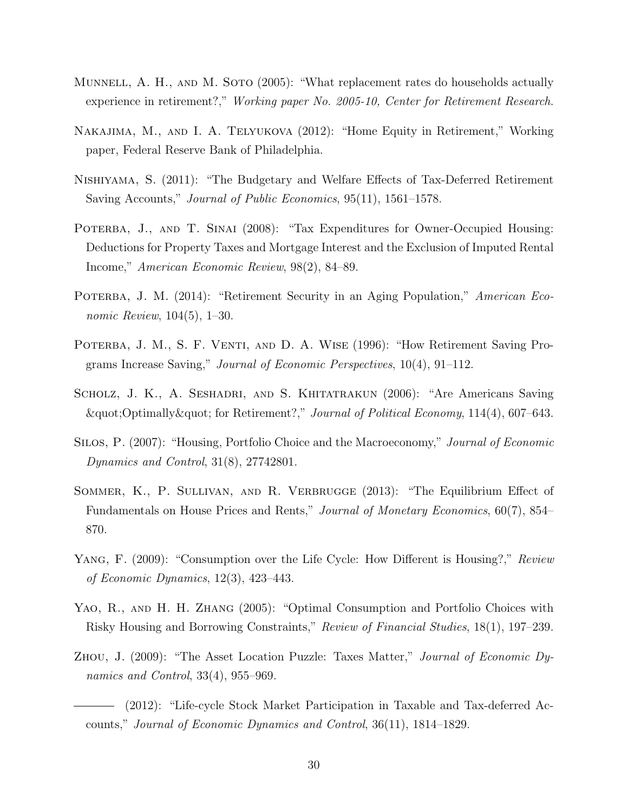- <span id="page-29-10"></span>MUNNELL, A. H., AND M. SOTO (2005): "What replacement rates do households actually experience in retirement?," Working paper No. 2005-10, Center for Retirement Research.
- <span id="page-29-9"></span>Nakajima, M., and I. A. Telyukova (2012): "Home Equity in Retirement," Working paper, Federal Reserve Bank of Philadelphia.
- <span id="page-29-1"></span>Nishiyama, S. (2011): "The Budgetary and Welfare Effects of Tax-Deferred Retirement Saving Accounts," *Journal of Public Economics*, 95(11), 1561–1578.
- <span id="page-29-12"></span>POTERBA, J., AND T. SINAI (2008): "Tax Expenditures for Owner-Occupied Housing: Deductions for Property Taxes and Mortgage Interest and the Exclusion of Imputed Rental Income," American Economic Review, 98(2), 84–89.
- <span id="page-29-7"></span>POTERBA, J. M. (2014): "Retirement Security in an Aging Population," American Economic Review, 104(5), 1–30.
- <span id="page-29-0"></span>POTERBA, J. M., S. F. VENTI, AND D. A. WISE (1996): "How Retirement Saving Programs Increase Saving," Journal of Economic Perspectives, 10(4), 91–112.
- <span id="page-29-8"></span>SCHOLZ, J. K., A. SESHADRI, AND S. KHITATRAKUN (2006): "Are Americans Saving "Optimally" for Retirement?," Journal of Political Economy, 114(4), 607–643.
- <span id="page-29-4"></span>SILOS, P. (2007): "Housing, Portfolio Choice and the Macroeconomy," Journal of Economic Dynamics and Control, 31(8), 27742801.
- <span id="page-29-2"></span>SOMMER, K., P. SULLIVAN, AND R. VERBRUGGE (2013): "The Equilibrium Effect of Fundamentals on House Prices and Rents," Journal of Monetary Economics, 60(7), 854– 870.
- <span id="page-29-3"></span>YANG, F. (2009): "Consumption over the Life Cycle: How Different is Housing?," Review of Economic Dynamics, 12(3), 423–443.
- <span id="page-29-5"></span>YAO, R., AND H. H. ZHANG (2005): "Optimal Consumption and Portfolio Choices with Risky Housing and Borrowing Constraints," Review of Financial Studies, 18(1), 197–239.
- <span id="page-29-11"></span><span id="page-29-6"></span>Zhou, J. (2009): "The Asset Location Puzzle: Taxes Matter," Journal of Economic Dynamics and Control, 33(4), 955–969.
	- (2012): "Life-cycle Stock Market Participation in Taxable and Tax-deferred Accounts," Journal of Economic Dynamics and Control, 36(11), 1814–1829.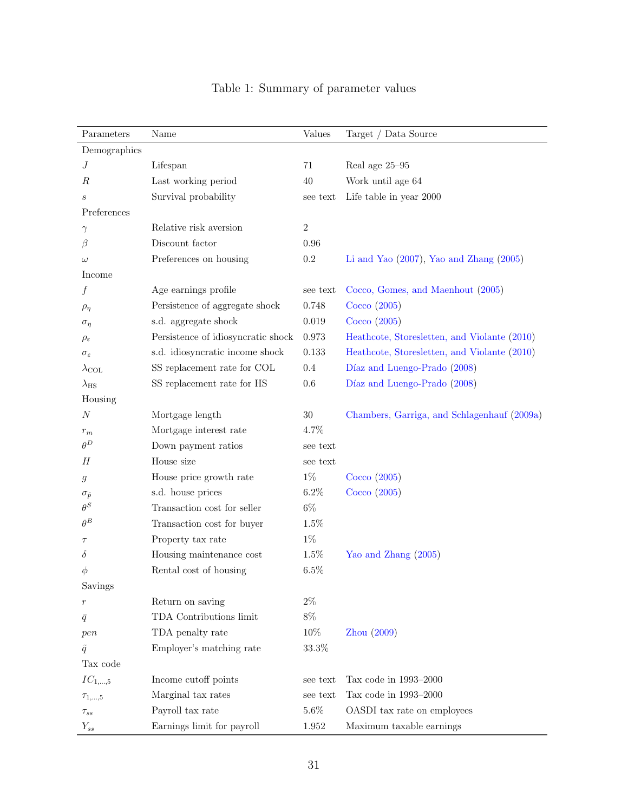| Parameters             | Name                               | Values   | Target / Data Source                         |
|------------------------|------------------------------------|----------|----------------------------------------------|
| Demographics           |                                    |          |                                              |
| J                      | Lifespan                           | 71       | Real age 25-95                               |
| R                      | Last working period                | 40       | Work until age 64                            |
| $\boldsymbol{s}$       | Survival probability               | see text | Life table in year 2000                      |
| Preferences            |                                    |          |                                              |
| $\gamma$               | Relative risk aversion             | $\,2$    |                                              |
| β                      | Discount factor                    | 0.96     |                                              |
| $\omega$               | Preferences on housing             | $0.2\,$  | Li and Yao $(2007)$ , Yao and Zhang $(2005)$ |
| Income                 |                                    |          |                                              |
| f                      | Age earnings profile               | see text | Cocco, Gomes, and Maenhout (2005)            |
| $\rho_{\eta}$          | Persistence of aggregate shock     | 0.748    | Cocco(2005)                                  |
| $\sigma_{\eta}$        | s.d. aggregate shock               | 0.019    | Cocco(2005)                                  |
| $\rho_{\varepsilon}$   | Persistence of idiosyncratic shock | 0.973    | Heathcote, Storesletten, and Violante (2010) |
| $\sigma_{\varepsilon}$ | s.d. idiosyncratic income shock    | 0.133    | Heathcote, Storesletten, and Violante (2010) |
| $\lambda_{\text{COL}}$ | SS replacement rate for COL        | 0.4      | Díaz and Luengo-Prado (2008)                 |
| $\lambda_{\rm HS}$     | SS replacement rate for HS         | 0.6      | Díaz and Luengo-Prado (2008)                 |
| Housing                |                                    |          |                                              |
| $\boldsymbol{N}$       | Mortgage length                    | 30       | Chambers, Garriga, and Schlagenhauf (2009a)  |
| $r_m$                  | Mortgage interest rate             | 4.7%     |                                              |
| $\theta^D$             | Down payment ratios                | see text |                                              |
| Н                      | House size                         | see text |                                              |
| g                      | House price growth rate            | $1\%$    | Cocco(2005)                                  |
| $\sigma_{\tilde{p}}$   | s.d. house prices                  | 6.2%     | Cocco(2005)                                  |
| $\theta^S$             | Transaction cost for seller        | $6\%$    |                                              |
| $\theta^B$             | Transaction cost for buyer         | 1.5%     |                                              |
| $\tau$                 | Property tax rate                  | $1\%$    |                                              |
| $\delta$               | Housing maintenance cost           | 1.5%     | Yao and Zhang (2005)                         |
| Ф                      | Rental cost of housing             | 6.5%     |                                              |
| Savings                |                                    |          |                                              |
| $\boldsymbol{r}$       | Return on saving                   | $2\%$    |                                              |
| $\bar{q}$              | TDA Contributions limit            | 8%       |                                              |
| pen                    | TDA penalty rate                   | 10%      | Zhou (2009)                                  |
| $\tilde{q}$            | Employer's matching rate           | 33.3%    |                                              |
| Tax code               |                                    |          |                                              |
| $IC_{1,\ldots,5}$      | Income cutoff points               | see text | Tax code in 1993-2000                        |
| $\tau_{1,\ldots,5}$    | Marginal tax rates                 | see text | Tax code in 1993-2000                        |
| $\tau_{ss}$            | Payroll tax rate                   | $5.6\%$  | OASDI tax rate on employees                  |
| $Y_{ss}$               | Earnings limit for payroll         | 1.952    | Maximum taxable earnings                     |

## <span id="page-30-0"></span>Table 1: Summary of parameter values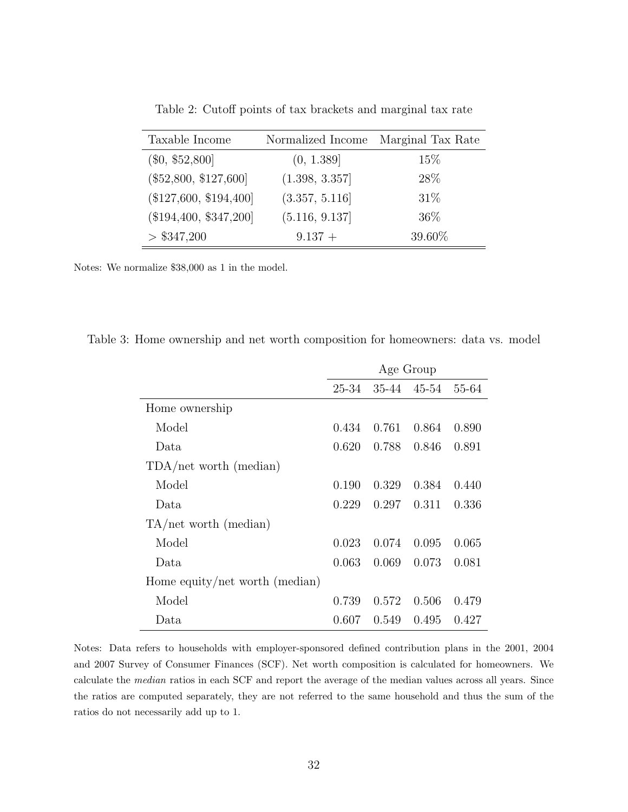| Taxable Income           | Normalized Income | Marginal Tax Rate |
|--------------------------|-------------------|-------------------|
| $(\$0, \$52,800]$        | (0, 1.389]        | 15\%              |
| $(\$52,800, \$127,600]$  | (1.398, 3.357]    | 28%               |
| $(\$127,600, \$194,400]$ | (3.357, 5.116]    | 31\%              |
| $(\$194,400, \$347,200]$ | (5.116, 9.137)    | 36%               |
| > \$347,200              | $9.137 +$         | 39.60%            |

<span id="page-31-0"></span>Table 2: Cutoff points of tax brackets and marginal tax rate

Notes: We normalize \$38,000 as 1 in the model.

|  |  |  | Table 3: Home ownership and net worth composition for homeowners: data vs. model |  |
|--|--|--|----------------------------------------------------------------------------------|--|
|  |  |  |                                                                                  |  |

<span id="page-31-1"></span>

|                                | Age Group |       |             |       |  |  |
|--------------------------------|-----------|-------|-------------|-------|--|--|
|                                | 25-34     |       | 35-44 45-54 | 55-64 |  |  |
| Home ownership                 |           |       |             |       |  |  |
| Model                          | 0.434     | 0.761 | 0.864       | 0.890 |  |  |
| Data.                          | 0.620     | 0.788 | 0.846       | 0.891 |  |  |
| TDA/net worth (median)         |           |       |             |       |  |  |
| Model                          | 0.190     | 0.329 | 0.384       | 0.440 |  |  |
| Data.                          | 0.229     | 0.297 | 0.311       | 0.336 |  |  |
| $TA/net$ worth (median)        |           |       |             |       |  |  |
| Model                          | 0.023     | 0.074 | 0.095       | 0.065 |  |  |
| Data.                          | 0.063     | 0.069 | 0.073       | 0.081 |  |  |
| Home equity/net worth (median) |           |       |             |       |  |  |
| Model                          | 0.739     | 0.572 | 0.506       | 0.479 |  |  |
| Data                           | 0.607     | 0.549 | 0.495       | 0.427 |  |  |

Notes: Data refers to households with employer-sponsored defined contribution plans in the 2001, 2004 and 2007 Survey of Consumer Finances (SCF). Net worth composition is calculated for homeowners. We calculate the median ratios in each SCF and report the average of the median values across all years. Since the ratios are computed separately, they are not referred to the same household and thus the sum of the ratios do not necessarily add up to 1.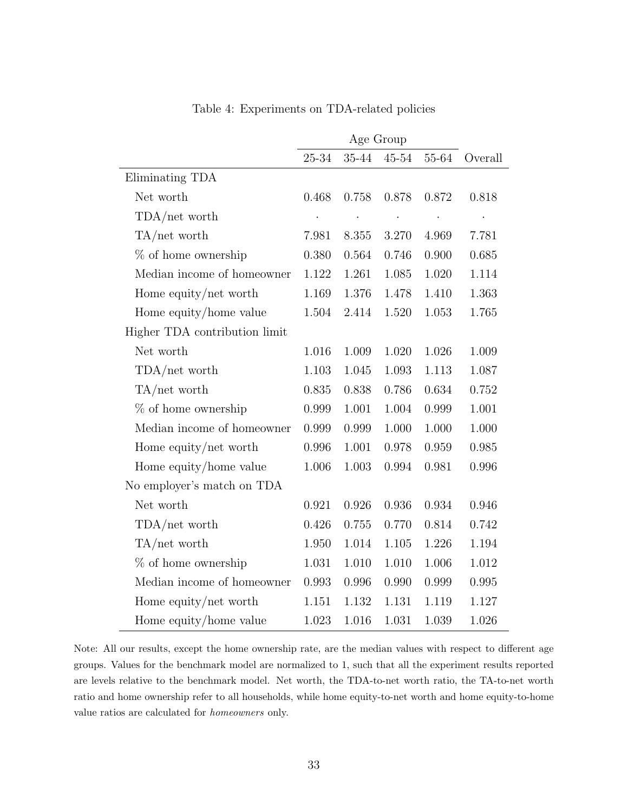|                               | 25-34 | $35 - 44$ | $45 - 54$            | $55\mbox{--}64$ | Overall |
|-------------------------------|-------|-----------|----------------------|-----------------|---------|
| Eliminating TDA               |       |           |                      |                 |         |
| Net worth                     | 0.468 | 0.758     | 0.878                | 0.872           | 0.818   |
| TDA/net worth                 |       |           | $\ddot{\phantom{0}}$ | $\cdot$         |         |
| $TA/net$ worth                | 7.981 | 8.355     | 3.270                | 4.969           | 7.781   |
| $%$ of home ownership         | 0.380 | 0.564     | 0.746                | 0.900           | 0.685   |
| Median income of homeowner    | 1.122 | 1.261     | 1.085                | 1.020           | 1.114   |
| Home equity/net worth         | 1.169 | 1.376     | 1.478                | 1.410           | 1.363   |
| Home equity/home value        | 1.504 | 2.414     | 1.520                | 1.053           | 1.765   |
| Higher TDA contribution limit |       |           |                      |                 |         |
| Net worth                     | 1.016 | 1.009     | 1.020                | 1.026           | 1.009   |
| $TDA/net$ worth               | 1.103 | 1.045     | 1.093                | 1.113           | 1.087   |
| $TA/net$ worth                | 0.835 | 0.838     | 0.786                | 0.634           | 0.752   |
| $%$ of home ownership         | 0.999 | 1.001     | 1.004                | 0.999           | 1.001   |
| Median income of homeowner    | 0.999 | 0.999     | 1.000                | 1.000           | 1.000   |
| Home equity/net worth         | 0.996 | 1.001     | 0.978                | 0.959           | 0.985   |
| Home equity/home value        | 1.006 | 1.003     | 0.994                | 0.981           | 0.996   |
| No employer's match on TDA    |       |           |                      |                 |         |
| Net worth                     | 0.921 | 0.926     | 0.936                | 0.934           | 0.946   |
| TDA/net worth                 | 0.426 | 0.755     | 0.770                | 0.814           | 0.742   |
| $TA/net$ worth                | 1.950 | 1.014     | 1.105                | 1.226           | 1.194   |
| $%$ of home ownership         | 1.031 | 1.010     | 1.010                | 1.006           | 1.012   |
| Median income of homeowner    | 0.993 | 0.996     | 0.990                | 0.999           | 0.995   |
| Home equity/net worth         | 1.151 | 1.132     | 1.131                | 1.119           | 1.127   |
| Home equity/home value        | 1.023 | 1.016     | 1.031                | 1.039           | 1.026   |

<span id="page-32-0"></span>Table 4: Experiments on TDA-related policies

Note: All our results, except the home ownership rate, are the median values with respect to different age groups. Values for the benchmark model are normalized to 1, such that all the experiment results reported are levels relative to the benchmark model. Net worth, the TDA-to-net worth ratio, the TA-to-net worth ratio and home ownership refer to all households, while home equity-to-net worth and home equity-to-home value ratios are calculated for homeowners only.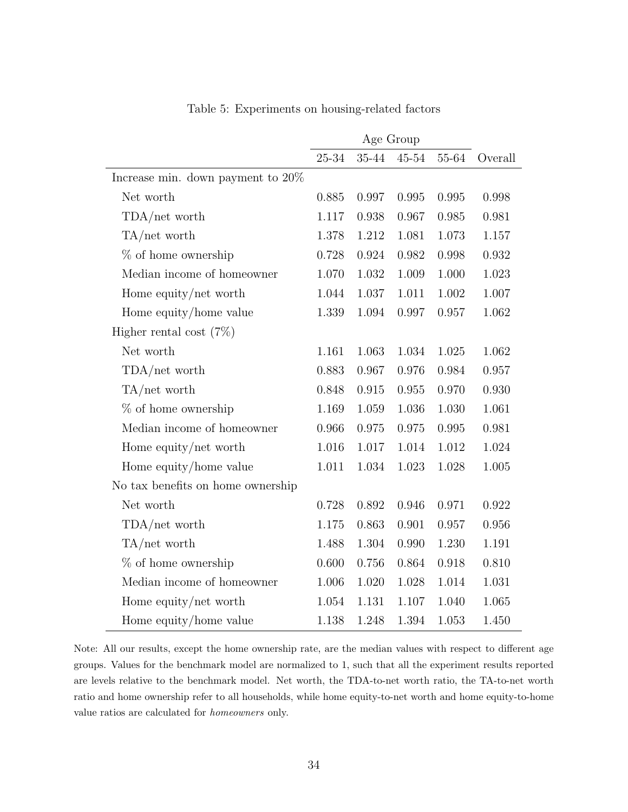|                                      | Age Group |           |           |       |         |
|--------------------------------------|-----------|-----------|-----------|-------|---------|
|                                      | $25 - 34$ | $35 - 44$ | $45 - 54$ | 55-64 | Overall |
| Increase min. down payment to $20\%$ |           |           |           |       |         |
| Net worth                            | 0.885     | 0.997     | 0.995     | 0.995 | 0.998   |
| $TDA/net$ worth                      | 1.117     | 0.938     | 0.967     | 0.985 | 0.981   |
| $TA/net$ worth                       | 1.378     | 1.212     | 1.081     | 1.073 | 1.157   |
| $%$ of home ownership                | 0.728     | 0.924     | 0.982     | 0.998 | 0.932   |
| Median income of homeowner           | 1.070     | 1.032     | 1.009     | 1.000 | 1.023   |
| Home equity/net worth                | 1.044     | 1.037     | 1.011     | 1.002 | 1.007   |
| Home equity/home value               | 1.339     | 1.094     | 0.997     | 0.957 | 1.062   |
| Higher rental cost $(7\%)$           |           |           |           |       |         |
| Net worth                            | 1.161     | 1.063     | 1.034     | 1.025 | 1.062   |
| TDA/net worth                        | 0.883     | 0.967     | 0.976     | 0.984 | 0.957   |
| $TA/net$ worth                       | 0.848     | 0.915     | 0.955     | 0.970 | 0.930   |
| $%$ of home ownership                | 1.169     | 1.059     | 1.036     | 1.030 | 1.061   |
| Median income of homeowner           | 0.966     | 0.975     | 0.975     | 0.995 | 0.981   |
| Home equity/net worth                | 1.016     | 1.017     | 1.014     | 1.012 | 1.024   |
| Home equity/home value               | 1.011     | 1.034     | 1.023     | 1.028 | 1.005   |
| No tax benefits on home ownership    |           |           |           |       |         |
| Net worth                            | 0.728     | 0.892     | 0.946     | 0.971 | 0.922   |
| $TDA/net$ worth                      | 1.175     | 0.863     | 0.901     | 0.957 | 0.956   |
| $TA/net$ worth                       | 1.488     | 1.304     | 0.990     | 1.230 | 1.191   |
| $%$ of home ownership                | 0.600     | 0.756     | 0.864     | 0.918 | 0.810   |
| Median income of homeowner           | 1.006     | 1.020     | 1.028     | 1.014 | 1.031   |
| Home equity/net worth                | 1.054     | 1.131     | 1.107     | 1.040 | 1.065   |
| Home equity/home value               | 1.138     | 1.248     | 1.394     | 1.053 | 1.450   |

<span id="page-33-0"></span>Table 5: Experiments on housing-related factors

Note: All our results, except the home ownership rate, are the median values with respect to different age groups. Values for the benchmark model are normalized to 1, such that all the experiment results reported are levels relative to the benchmark model. Net worth, the TDA-to-net worth ratio, the TA-to-net worth ratio and home ownership refer to all households, while home equity-to-net worth and home equity-to-home value ratios are calculated for homeowners only.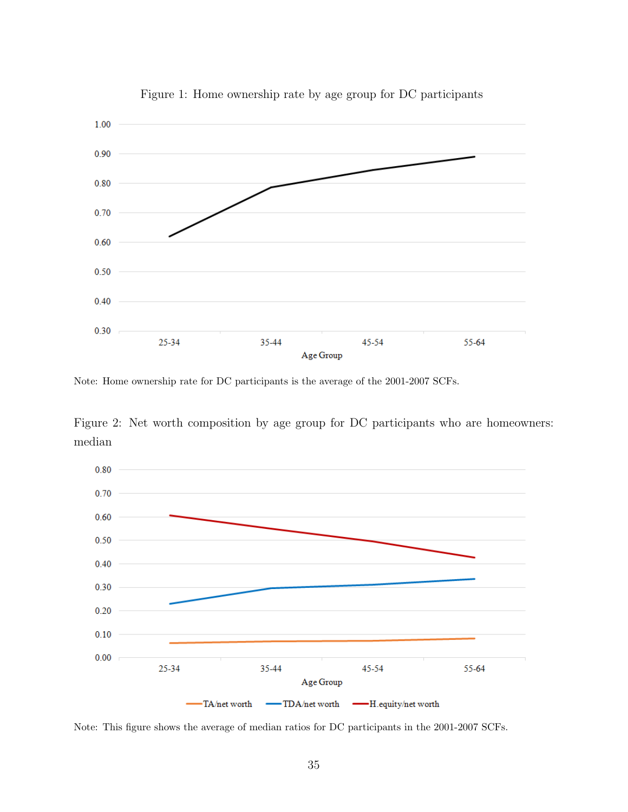

<span id="page-34-0"></span>Figure 1: Home ownership rate by age group for DC participants

Note: Home ownership rate for DC participants is the average of the 2001-2007 SCFs.



<span id="page-34-1"></span>

Note: This figure shows the average of median ratios for DC participants in the 2001-2007 SCFs.